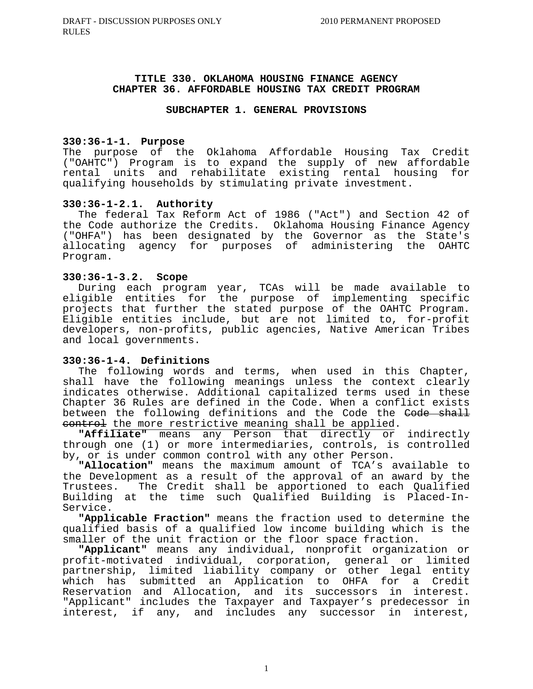#### **TITLE 330. OKLAHOMA HOUSING FINANCE AGENCY CHAPTER 36. AFFORDABLE HOUSING TAX CREDIT PROGRAM**

#### **SUBCHAPTER 1. GENERAL PROVISIONS**

# **330:36-1-1. Purpose**

The purpose of the Oklahoma Affordable Housing Tax Credit ("OAHTC") Program is to expand the supply of new affordable rental units and rehabilitate existing rental housing for qualifying households by stimulating private investment.

#### **330:36-1-2.1. Authority**

 The federal Tax Reform Act of 1986 ("Act") and Section 42 of the Code authorize the Credits. Oklahoma Housing Finance Agency ("OHFA") has been designated by the Governor as the State's allocating agency for purposes of administering the OAHTC Program.

#### **330:36-1-3.2. Scope**

 During each program year, TCAs will be made available to eligible entities for the purpose of implementing specific projects that further the stated purpose of the OAHTC Program. Eligible entities include, but are not limited to, for-profit developers, non-profits, public agencies, Native American Tribes and local governments.

#### **330:36-1-4. Definitions**

 The following words and terms, when used in this Chapter, shall have the following meanings unless the context clearly indicates otherwise. Additional capitalized terms used in these Chapter 36 Rules are defined in the Code. When a conflict exists between the following definitions and the Code the Code shall eontrol the more restrictive meaning shall be applied.<br>"Affiliate" means any Person that directly or indirectly

**"Affiliate"** means any Person that directly or through one (1) or more intermediaries, controls, is controlled by, or is under common control with any other Person.

 **"Allocation"** means the maximum amount of TCA's available to the Development as a result of the approval of an award by the Trustees. The Credit shall be apportioned to each Qualified Building at the time such Qualified Building is Placed-In-Service.

 **"Applicable Fraction"** means the fraction used to determine the qualified basis of a qualified low income building which is the smaller of the unit fraction or the floor space fraction.

 **"Applicant"** means any individual, nonprofit organization or profit-motivated individual, corporation, general or limited partnership, limited liability company or other legal entity which has submitted an Application to OHFA for a Credit Reservation and Allocation, and its successors in interest. "Applicant" includes the Taxpayer and Taxpayer's predecessor in interest, if any, and includes any successor in interest,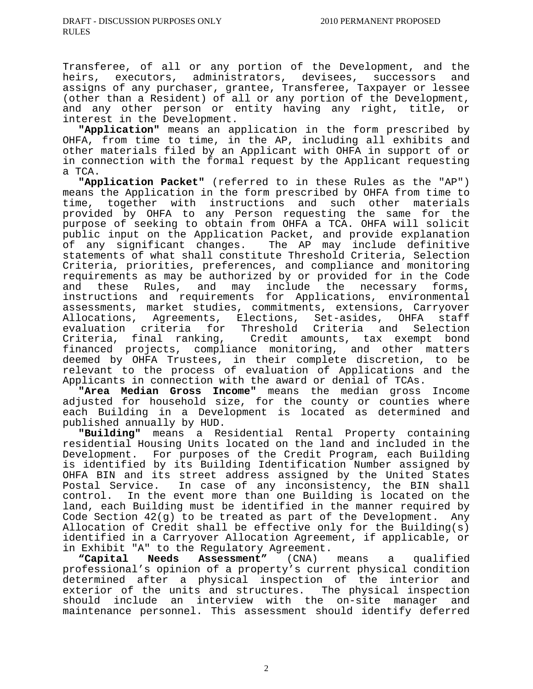Transferee, of all or any portion of the Development, and the heirs, executors, administrators, devisees, successors and assigns of any purchaser, grantee, Transferee, Taxpayer or lessee (other than a Resident) of all or any portion of the Development, and any other person or entity having any right, title, or interest in the Development.

 **"Application"** means an application in the form prescribed by OHFA, from time to time, in the AP, including all exhibits and other materials filed by an Applicant with OHFA in support of or in connection with the formal request by the Applicant requesting a TCA.

 **"Application Packet"** (referred to in these Rules as the "AP") means the Application in the form prescribed by OHFA from time to time, together with instructions and such other materials provided by OHFA to any Person requesting the same for the purpose of seeking to obtain from OHFA a TCA. OHFA will solicit public input on the Application Packet, and provide explanation of any significant changes. The AP may include definitive statements of what shall constitute Threshold Criteria, Selection Criteria, priorities, preferences, and compliance and monitoring requirements as may be authorized by or provided for in the Code and these Rules, and may include the necessary forms, instructions and requirements for Applications, environmental assessments, market studies, commitments, extensions, Carryover Allocations, Agreements, Elections, Set-asides, OHFA staff evaluation criteria for Threshold Criteria and Selection Criteria, final ranking, Credit amounts, tax exempt bond financed projects, compliance monitoring, and other matters deemed by OHFA Trustees, in their complete discretion, to be relevant to the process of evaluation of Applications and the Applicants in connection with the award or denial of TCAs.

 **"Area Median Gross Income"** means the median gross Income adjusted for household size, for the county or counties where each Building in a Development is located as determined and published annually by HUD.

 **"Building"** means a Residential Rental Property containing residential Housing Units located on the land and included in the Development. For purposes of the Credit Program, each Building is identified by its Building Identification Number assigned by OHFA BIN and its street address assigned by the United States Postal Service. In case of any inconsistency, the BIN shall control. In the event more than one Building is located on the land, each Building must be identified in the manner required by Code Section  $42(g)$  to be treated as part of the Development. Any Allocation of Credit shall be effective only for the Building(s) identified in a Carryover Allocation Agreement, if applicable, or in Exhibit "A" to the Regulatory Agreement.<br>"Capital Needs Assessment" (CNA) means

**Assessment"** (CNA) means a qualified professional's opinion of a property's current physical condition determined after a physical inspection of the interior and exterior of the units and structures. The physical inspection should include an interview with the on-site manager and maintenance personnel. This assessment should identify deferred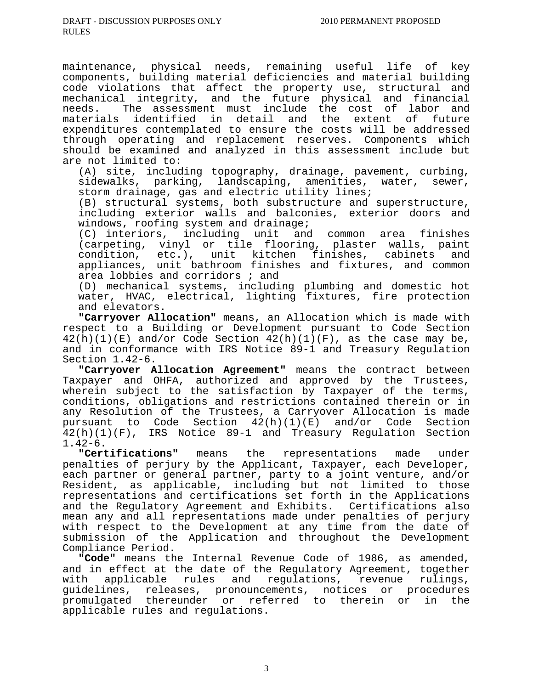maintenance, physical needs, remaining useful life of key components, building material deficiencies and material building code violations that affect the property use, structural and mechanical integrity, and the future physical and financial needs. The assessment must include the cost of labor and materials identified in detail and the extent of future expenditures contemplated to ensure the costs will be addressed through operating and replacement reserves. Components which should be examined and analyzed in this assessment include but are not limited to:

 (A) site, including topography, drainage, pavement, curbing, sidewalks, parking, landscaping, amenities, water, sewer, storm drainage, gas and electric utility lines;

 (B) structural systems, both substructure and superstructure, including exterior walls and balconies, exterior doors and windows, roofing system and drainage;

 (C) interiors, including unit and common area finishes (carpeting, vinyl or tile flooring, plaster walls, paint condition, etc.), unit kitchen finishes, cabinets and appliances, unit bathroom finishes and fixtures, and common area lobbies and corridors ; and

 (D) mechanical systems, including plumbing and domestic hot water, HVAC, electrical, lighting fixtures, fire protection and elevators.

 **"Carryover Allocation"** means, an Allocation which is made with respect to a Building or Development pursuant to Code Section  $42(h)(1)(E)$  and/or Code Section  $42(h)(1)(F)$ , as the case may be, and in conformance with IRS Notice 89-1 and Treasury Regulation Section 1.42-6.

 **"Carryover Allocation Agreement"** means the contract between Taxpayer and OHFA, authorized and approved by the Trustees, wherein subject to the satisfaction by Taxpayer of the terms, conditions, obligations and restrictions contained therein or in any Resolution of the Trustees, a Carryover Allocation is made pursuant to Code Section 42(h)(1)(E) and/or Code Section 42(h)(1)(F), IRS Notice 89-1 and Treasury Regulation Section

1.42-6.<br>"Certifications" means the representations made under penalties of perjury by the Applicant, Taxpayer, each Developer, each partner or general partner, party to a joint venture, and/or Resident, as applicable, including but not limited to those representations and certifications set forth in the Applications and the Regulatory Agreement and Exhibits. Certifications also mean any and all representations made under penalties of perjury with respect to the Development at any time from the date of submission of the Application and throughout the Development Compliance Period.

 **"Code"** means the Internal Revenue Code of 1986, as amended, and in effect at the date of the Regulatory Agreement, together with applicable rules and regulations, revenue rulings, guidelines, releases, pronouncements, notices or procedures promulgated thereunder or referred to therein or in the applicable rules and regulations.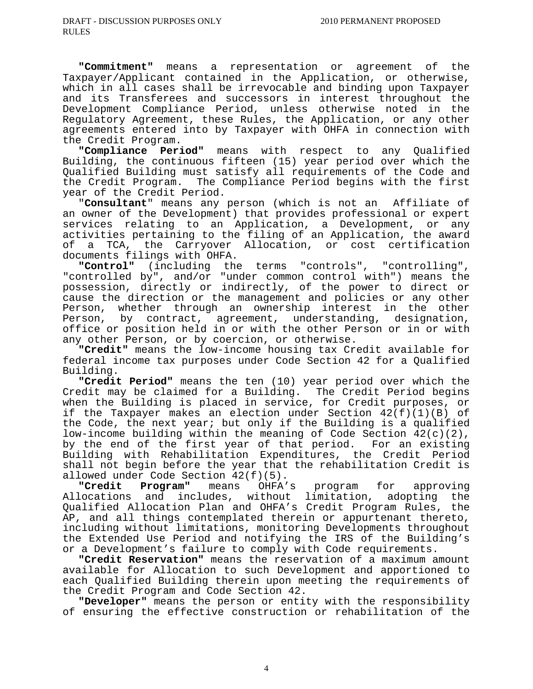**"Commitment"** means a representation or agreement of the Taxpayer/Applicant contained in the Application, or otherwise, which in all cases shall be irrevocable and binding upon Taxpayer and its Transferees and successors in interest throughout the Development Compliance Period, unless otherwise noted in the Regulatory Agreement, these Rules, the Application, or any other agreements entered into by Taxpayer with OHFA in connection with the Credit Program.

 **"Compliance Period"** means with respect to any Qualified Building, the continuous fifteen (15) year period over which the Qualified Building must satisfy all requirements of the Code and the Credit Program. The Compliance Period begins with the first year of the Credit Period.

 "**Consultant**" means any person (which is not an Affiliate of an owner of the Development) that provides professional or expert services relating to an Application, a Development, or any activities pertaining to the filing of an Application, the award of a TCA, the Carryover Allocation, or cost certification documents filings with OHFA.<br>"Control" (including the

terms "controls", "controlling", "controlled by", and/or "under common control with") means the possession, directly or indirectly, of the power to direct or cause the direction or the management and policies or any other Person, whether through an ownership interest in the other Person, by contract, agreement, understanding, designation, office or position held in or with the other Person or in or with any other Person, or by coercion, or otherwise.

 **"Credit"** means the low-income housing tax Credit available for federal income tax purposes under Code Section 42 for a Qualified Building.

 **"Credit Period"** means the ten (10) year period over which the Credit may be claimed for a Building. The Credit Period begins when the Building is placed in service, for Credit purposes, or if the Taxpayer makes an election under Section 42(f)(1)(B) of the Code, the next year; but only if the Building is a qualified low-income building within the meaning of Code Section  $42(c)(2)$ , by the end of the first year of that period. For an existing Building with Rehabilitation Expenditures, the Credit Period shall not begin before the year that the rehabilitation Credit is allowed under Code Section  $42(f)(5)$ .

 **"Credit Program"** means OHFA's program for approving Allocations and includes, without limitation, adopting the Qualified Allocation Plan and OHFA's Credit Program Rules, the AP, and all things contemplated therein or appurtenant thereto, including without limitations, monitoring Developments throughout the Extended Use Period and notifying the IRS of the Building's or a Development's failure to comply with Code requirements.

 **"Credit Reservation"** means the reservation of a maximum amount available for Allocation to such Development and apportioned to each Qualified Building therein upon meeting the requirements of the Credit Program and Code Section 42.

 **"Developer"** means the person or entity with the responsibility of ensuring the effective construction or rehabilitation of the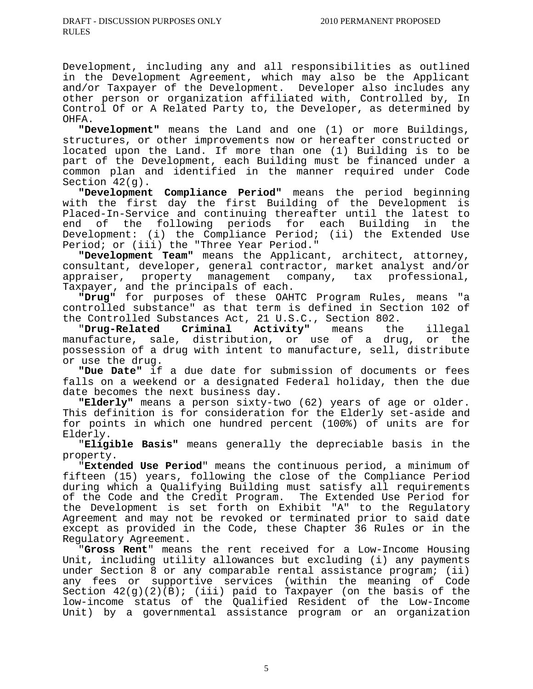Development, including any and all responsibilities as outlined in the Development Agreement, which may also be the Applicant and/or Taxpayer of the Development. Developer also includes any other person or organization affiliated with, Controlled by, In Control Of or A Related Party to, the Developer, as determined by OHFA.

 **"Development"** means the Land and one (1) or more Buildings, structures, or other improvements now or hereafter constructed or located upon the Land. If more than one (1) Building is to be part of the Development, each Building must be financed under a common plan and identified in the manner required under Code Section 42(g).

 **"Development Compliance Period"** means the period beginning with the first day the first Building of the Development is Placed-In-Service and continuing thereafter until the latest to end of the following periods for each Building in the Development: (i) the Compliance Period; (ii) the Extended Use Period; or (iii) the "Three Year Period."

 **"Development Team"** means the Applicant, architect, attorney, consultant, developer, general contractor, market analyst and/or<br>appraiser, property management company, tax professional, appraiser, property management Taxpayer, and the principals of each.

 **"Drug"** for purposes of these OAHTC Program Rules, means "a controlled substance" as that term is defined in Section 102 of the Controlled Substances Act, 21 U.S.C., Section 802.<br>"Drug-Related Criminal Activity" means the

 "**Drug-Related Criminal Activity"** means the illegal manufacture, sale, distribution, or use of a drug, or the possession of a drug with intent to manufacture, sell, distribute or use the drug.

 **"Due Date"** if a due date for submission of documents or fees falls on a weekend or a designated Federal holiday, then the due date becomes the next business day.

 **"Elderly"** means a person sixty-two (62) years of age or older. This definition is for consideration for the Elderly set-aside and for points in which one hundred percent (100%) of units are for Elderly.

 "**Eligible Basis"** means generally the depreciable basis in the property.

 "**Extended Use Period**" means the continuous period, a minimum of fifteen (15) years, following the close of the Compliance Period during which a Qualifying Building must satisfy all requirements of the Code and the Credit Program. The Extended Use Period for the Development is set forth on Exhibit "A" to the Regulatory Agreement and may not be revoked or terminated prior to said date except as provided in the Code, these Chapter 36 Rules or in the Regulatory Agreement.

 "**Gross Rent**" means the rent received for a Low-Income Housing Unit, including utility allowances but excluding (i) any payments under Section 8 or any comparable rental assistance program; (ii) any fees or supportive services (within the meaning of Code Section  $42(g)(2)(\overline{B})$ ; (iii) paid to Taxpayer (on the basis of the low-income status of the Qualified Resident of the Low-Income Unit) by a governmental assistance program or an organization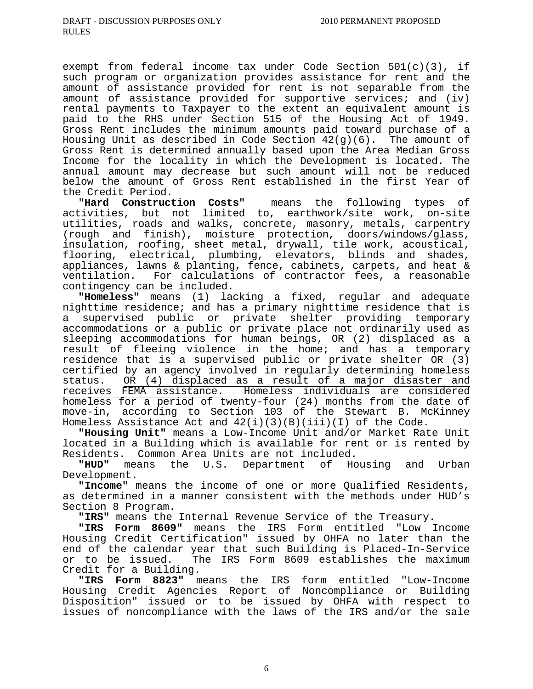exempt from federal income tax under Code Section 501(c)(3), if such program or organization provides assistance for rent and the amount of assistance provided for rent is not separable from the amount of assistance provided for supportive services; and (iv) rental payments to Taxpayer to the extent an equivalent amount is paid to the RHS under Section 515 of the Housing Act of 1949. Gross Rent includes the minimum amounts paid toward purchase of a Housing Unit as described in Code Section  $42(g)(6)$ . The amount of Gross Rent is determined annually based upon the Area Median Gross Income for the locality in which the Development is located. The annual amount may decrease but such amount will not be reduced below the amount of Gross Rent established in the first Year of the Credit Period.

 "**Hard Construction Costs"** means the following types of activities, but not limited to, earthwork/site work, on-site utilities, roads and walks, concrete, masonry, metals, carpentry (rough and finish), moisture protection, doors/windows/glass, insulation, roofing, sheet metal, drywall, tile work, acoustical, flooring, electrical, plumbing, elevators, blinds and shades, appliances, lawns & planting, fence, cabinets, carpets, and heat & ventilation. For calculations of contractor fees, a reasonable contingency can be included.

 **"Homeless"** means (1) lacking a fixed, regular and adequate nighttime residence; and has a primary nighttime residence that is a supervised public or private shelter providing temporary accommodations or a public or private place not ordinarily used as sleeping accommodations for human beings, OR (2) displaced as a result of fleeing violence in the home; and has a temporary residence that is a supervised public or private shelter OR (3) certified by an agency involved in regularly determining homeless status. OR (4) displaced as a result of a major disaster and receives FEMA assistance. Homeless individuals are considered homeless for a period of twenty-four (24) months from the date of move-in, according to Section 103 of the Stewart B. McKinney Homeless Assistance Act and 42(i)(3)(B)(iii)(I) of the Code.

 **"Housing Unit"** means a Low-Income Unit and/or Market Rate Unit located in a Building which is available for rent or is rented by Residents. Common Area Units are not included.

 **"HUD"** means the U.S. Department of Housing and Urban Development.

 **"Income"** means the income of one or more Qualified Residents, as determined in a manner consistent with the methods under HUD's Section 8 Program.

 **"IRS"** means the Internal Revenue Service of the Treasury.

 **"IRS Form 8609"** means the IRS Form entitled "Low Income Housing Credit Certification" issued by OHFA no later than the end of the calendar year that such Building is Placed-In-Service<br>or to be issued. The IRS Form 8609 establishes the maximum The IRS Form 8609 establishes the maximum Credit for a Building.

 **"IRS Form 8823"** means the IRS form entitled "Low-Income Housing Credit Agencies Report of Noncompliance or Building Disposition" issued or to be issued by OHFA with respect to issues of noncompliance with the laws of the IRS and/or the sale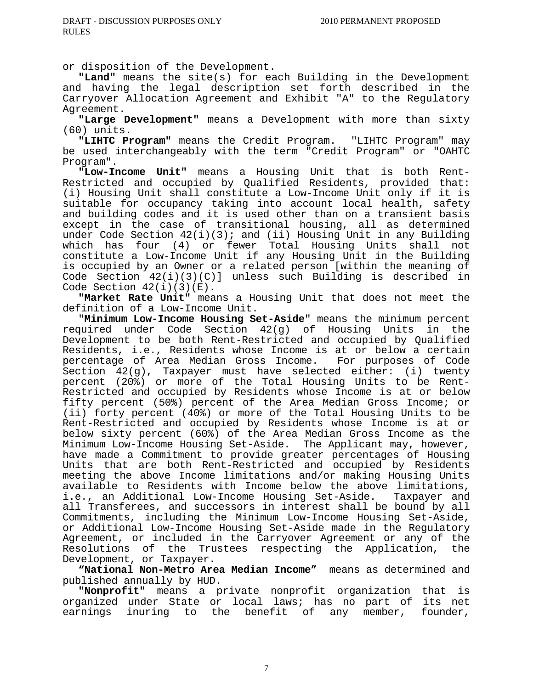or disposit ion of the Development.

 **"Land"** means the site(s) for each Building in the Development and having the legal description set forth described in the Carryover Allocation Agreement and Exhibit "A" to the Regulatory Agreement.

 **"Large Development"** means a Development with more than sixty (60) units.

 **"LIHTC Program"** means the Credit Program. "LIHTC Program" may be used interchangeably with the term "Credit Program" or "OAHTC Program".

 **"Low-Income Unit"** means a Housing Unit that is both Rent-Restricted and occupied by Qualified Residents, provided that: (i) Housing Unit shall constitute a Low-Income Unit only if it is suitable for occupancy taking into account local health, safety and building codes and it is used other than on a transient basis except in the case of transitional housing, all as determined under Code Section  $42(i)(3)$ ; and (ii) Housing Unit in any Building which has four (4) or fewer Total Housing Units shall not constitute a Low-Income Unit if any Housing Unit in the Building is occupied by an Owner or a related person [within the meaning of Code Section  $42(i)(3)(C)$  unless such Building is described in Code Section  $42(i)(3)(E)$ .

 **"Market Rate Unit"** means a Housing Unit that does not meet the definition of a Low-Income Unit.

 "**Minimum Low-Income Housing Set-Aside**" means the minimum percent required under Code Section 42(g) of Housing Units in the Development to be both Rent-Restricted and occupied by Qualified Residents, i.e., Residents whose Income is at or below a certain percentage of Area Median Gross Income. For purposes of Code Section 42(g), Taxpayer must have selected either: (i) twenty percent (20%) or more of the Total Housing Units to be Rent-Restricted and occupied by Residents whose Income is at or below fifty percent (50%) percent of the Area Median Gross Income; or (ii) forty percent (40%) or more of the Total Housing Units to be Rent-Restricted and occupied by Residents whose Income is at or below sixty percent (60%) of the Area Median Gross Income as the Minimum Low-Income Housing Set-Aside. The Applicant may, however, have made a Commitment to provide greater percentages of Housing Units that are both Rent-Restricted and occupied by Residents meeting the above Income limitations and/or making Housing Units available to Residents with Income below the above limitations, i.e., an Additional Low-Income Housing Set-Aside. Taxpayer and all Transferees, and successors in interest shall be bound by all Commitments, including the Minimum Low-Income Housing Set-Aside, or Additional Low-Income Housing Set-Aside made in the Regulatory Agreement, or included in the Carryover Agreement or any of the Resolutions of the Trustees respecting the Application, the Development, or Taxpayer**.** 

 **"National Non-Metro Area Median Income"** means as determined and published annually by HUD.

**"Nonprofit"** means a private nonprofit organization that is organized under State or local laws; has no part of its net earnings inuring to the benefit of any member, founder,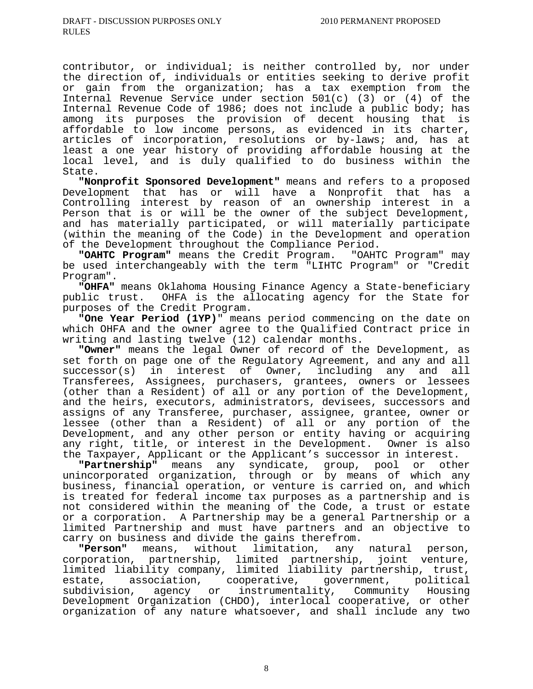contributor, or individual; is neither controlled by, nor under the direction of, individuals or entities seeking to derive profit or gain from the organization; has a tax exemption from the Internal Revenue Service under section 501(c) (3) or (4) of the Internal Revenue Code of 1986; does not include a public body; has among its purposes the provision of decent housing that is affordable to low income persons, as evidenced in its charter, articles of incorporation, resolutions or by-laws; and, has at least a one year history of providing affordable housing at the local level, and is duly qualified to do business within the State.

 **"Nonprofit Sponsored Development"** means and refers to a proposed Development that has or will have a Nonprofit that has a Controlling interest by reason of an ownership interest in a Person that is or will be the owner of the subject Development, and has materially participated, or will materially participate (within the meaning of the Code) in the Development and operation of the Development throughout the Compliance Period.

 **"OAHTC Program"** means the Credit Program. "OAHTC Program" may be used interchangeably with the term "LIHTC Program" or "Credit Program".

 **"OHFA"** means Oklahoma Housing Finance Agency a State-beneficiary public trust. OHFA is the allocating agency for the State for purposes of the Credit Program.

 **"One Year Period (1YP)**" means period commencing on the date on which OHFA and the owner agree to the Qualified Contract price in writing and lasting twelve (12) calendar months.

 **"Owner"** means the legal Owner of record of the Development, as set forth on page one of the Regulatory Agreement, and any and all successor(s) in interest of Owner, including any and all Transferees, Assignees, purchasers, grantees, owners or lessees (other than a Resident) of all or any portion of the Development, and the heirs, executors, administrators, devisees, successors and assigns of any Transferee, purchaser, assignee, grantee, owner or lessee (other than a Resident) of all or any portion of the Development, and any other person or entity having or acquiring any right, title, or interest in the Development. Owner is also the Taxpayer, Applicant or the Applicant's successor in interest.

 **"Partnership"** means any syndicate, group, pool or other unincorporated organization, through or by means of which any business, financial operation, or venture is carried on, and which is treated for federal income tax purposes as a partnership and is not considered within the meaning of the Code, a trust or estate or a corporation. A Partnership may be a general Partnership or a limited Partnership and must have partners and an objective to carry on business and divide the gains therefrom.

 **"Person"** means, without limitation, any natural person, corporation, partnership, limited partnership, joint venture, limited liability company, limited liability partnership, trust, estate, association, cooperative, government, political subdivision, agency or instrumentality, Community Housing Development Organization (CHDO), interlocal cooperative, or other organization of any nature whatsoever, and shall include any two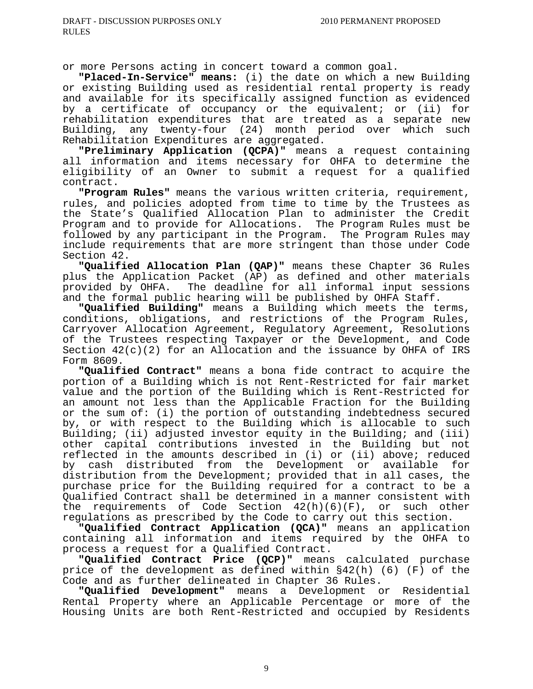or more Persons acting in concer t toward a common goal.

 **"Placed-In-Service" means:** (i) the date on which a new Building or existing Building used as residential rental property is ready and available for its specifically assigned function as evidenced by a certificate of occupancy or the equivalent; or (ii) for rehabilitation expenditures that are treated as a separate new Building, any twenty-four (24) month period over which such Rehabilitation Expenditures are aggregated.

 **"Preliminary Application (QCPA)"** means a request containing all information and items necessary for OHFA to determine the eligibility of an Owner to submit a request for a qualified contract.

 **"Program Rules"** means the various written criteria, requirement, rules, and policies adopted from time to time by the Trustees as the State's Qualified Allocation Plan to administer the Credit Program and to provide for Allocations. The Program Rules must be followed by any participant in the Program. The Program Rules may include requirements that are more stringent than those under Code Section 42.

 **"Qualified Allocation Plan (QAP)"** means these Chapter 36 Rules plus the Application Packet (AP) as defined and other materials<br>provided by OHFA. The deadline for all informal input sessions The deadline for all informal input sessions and the formal public hearing will be published by OHFA Staff.

 **"Qualified Building"** means a Building which meets the terms, conditions, obligations, and restrictions of the Program Rules, Carryover Allocation Agreement, Regulatory Agreement, Resolutions of the Trustees respecting Taxpayer or the Development, and Code Section  $42(c)(2)$  for an Allocation and the issuance by OHFA of IRS Form 8609.

 **"Qualified Contract"** means a bona fide contract to acquire the portion of a Building which is not Rent-Restricted for fair market value and the portion of the Building which is Rent-Restricted for an amount not less than the Applicable Fraction for the Building or the sum of: (i) the portion of outstanding indebtedness secured by, or with respect to the Building which is allocable to such Building; (ii) adjusted investor equity in the Building; and (iii) other capital contributions invested in the Building but not reflected in the amounts described in (i) or (ii) above; reduced by cash distributed from the Development or available for distribution from the Development; provided that in all cases, the purchase price for the Building required for a contract to be a Qualified Contract shall be determined in a manner consistent with the requirements of Code Section  $42(h)(6)(F)$ , or such other regulations as prescribed by the Code to carry out this section.

 **"Qualified Contract Application (QCA)"** means an application containing all information and items required by the OHFA to process a request for a Qualified Contract.

 **"Qualified Contract Price (QCP)"** means calculated purchase price of the development as defined within §42(h) (6) (F) of the Code and as further delineated in Chapter 36 Rules.

 **"Qualified Development"** means a Development or Residential Rental Property where an Applicable Percentage or more of the Housing Units are both Rent-Restricted and occupied by Residents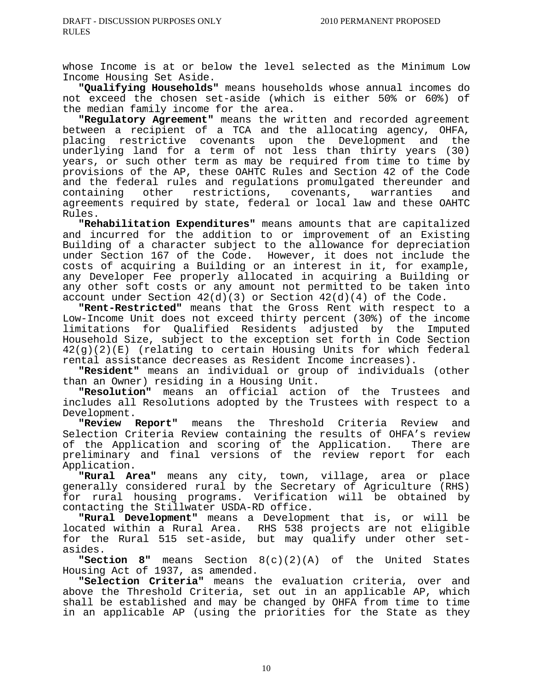whose Income is at or below the level selected as the Minimum Low Income Housing Set Aside.

 **"Qualifying Households"** means households whose annual incomes do not exceed the chosen set-aside (which is either 50% or 60%) of the median family income for the area.

 **"Regulatory Agreement"** means the written and recorded agreement between a recipient of a TCA and the allocating agency, OHFA, placing restrictive covenants upon the Development and the underlying land for a term of not less than thirty years (30) years, or such other term as may be required from time to time by provisions of the AP, these OAHTC Rules and Section 42 of the Code and the federal rules and regulations promulgated thereunder and containing other restrictions, covenants, warranties and agreements required by state, federal or local law and these OAHTC Rules.

 **"Rehabilitation Expenditures"** means amounts that are capitalized and incurred for the addition to or improvement of an Existing Building of a character subject to the allowance for depreciation under Section 167 of the Code. However, it does not include the costs of acquiring a Building or an interest in it, for example, any Developer Fee properly allocated in acquiring a Building or any other soft costs or any amount not permitted to be taken into account under Section  $42(d)(3)$  or Section  $42(d)(4)$  of the Code.

 **"Rent-Restricted"** means that the Gross Rent with respect to a Low-Income Unit does not exceed thirty percent (30%) of the income limitations for Qualified Residents adjusted by the Imputed Household Size, subject to the exception set forth in Code Section 42(g)(2)(E) (relating to certain Housing Units for which federal rental assistance decreases as Resident Income increases).

 **"Resident"** means an individual or group of individuals (other

than an Owner) residing in a Housing Unit. **"Resolution"** means an official action of the Trustees and includes all Resolutions adopted by the Trustees with respect to a Development.

 **"Review Report"** means the Threshold Criteria Review and Selection Criteria Review containing the results of OHFA's review of the Application and scoring of the Application. There are preliminary and final versions of the review report for each Application.

 **"Rural Area"** means any city, town, village, area or place generally considered rural by the Secretary of Agriculture (RHS) for rural housing programs. Verification will be obtained by contacting the Stillwater USDA-RD office.

 **"Rural Development"** means a Development that is, or will be located within a Rural Area. RHS 538 projects are not eligible for the Rural 515 set-aside, but may qualify under other setasides.

 **"Section 8"** means Section 8(c)(2)(A) of the United States Housing Act of 1937, as amended.

 **"Selection Criteria"** means the evaluation criteria, over and above the Threshold Criteria, set out in an applicable AP, which shall be established and may be changed by OHFA from time to time in an applicable AP (using the priorities for the State as they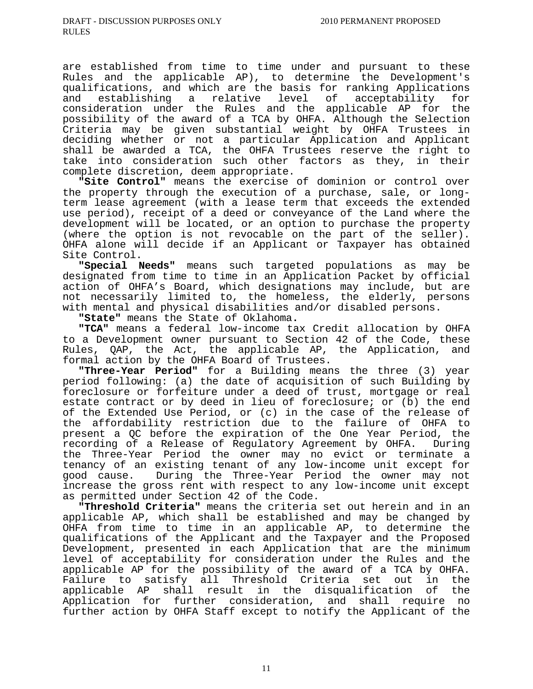are established from time to time under and pursuant to these Rules and the applicable AP), to determine the Development's qualifications, and which are the basis for ranking Applications and establishing a relative level of acceptability for consideration under the Rules and the applicable AP for the possibility of the award of a TCA by OHFA. Although the Selection Criteria may be given substantial weight by OHFA Trustees in deciding whether or not a particular Application and Applicant shall be awarded a TCA, the OHFA Trustees reserve the right to take into consideration such other factors as they, in their complete discretion, deem appropriate.

 **"Site Control"** means the exercise of dominion or control over the property through the execution of a purchase, sale, or longterm lease agreement (with a lease term that exceeds the extended use period), receipt of a deed or conveyance of the Land where the development will be located, or an option to purchase the property (where the option is not revocable on the part of the seller). OHFA alone will decide if an Applicant or Taxpayer has obtained Site Control.

 **"Special Needs"** means such targeted populations as may be designated from time to time in an Application Packet by official action of OHFA's Board, which designations may include, but are not necessarily limited to, the homeless, the elderly, persons with mental and physical disabilities and/or disabled persons.

 **"State"** means the State of Oklahoma**.** 

 **"TCA"** means a federal low-income tax Credit allocation by OHFA to a Development owner pursuant to Section 42 of the Code, these Rules, QAP, the Act, the applicable AP, the Application, and formal action by the OHFA Board of Trustees.

 **"Three-Year Period"** for a Building means the three (3) year period following: (a) the date of acquisition of such Building by foreclosure or forfeiture under a deed of trust, mortgage or real estate contract or by deed in lieu of foreclosure; or (b) the end of the Extended Use Period, or (c) in the case of the release of the affordability restriction due to the failure of OHFA to present a QC before the expiration of the One Year Period, the recording of a Release of Regulatory Agreement by OHFA. During the Three-Year Period the owner may no evict or terminate a tenancy of an existing tenant of any low-income unit except for good cause. During the Three-Year Period the owner may not increase the gross rent with respect to any low-income unit except as permitted under Section 42 of the Code.

 **"Threshold Criteria"** means the criteria set out herein and in an applicable AP, which shall be established and may be changed by OHFA from time to time in an applicable AP, to determine the qualifications of the Applicant and the Taxpayer and the Proposed Development, presented in each Application that are the minimum level of acceptability for consideration under the Rules and the applicable AP for the possibility of the award of a TCA by OHFA. Failure to satisfy all Threshold Criteria set out in the applicable AP shall result in the disqualification of the Application for further consideration, and shall require no further action by OHFA Staff except to notify the Applicant of the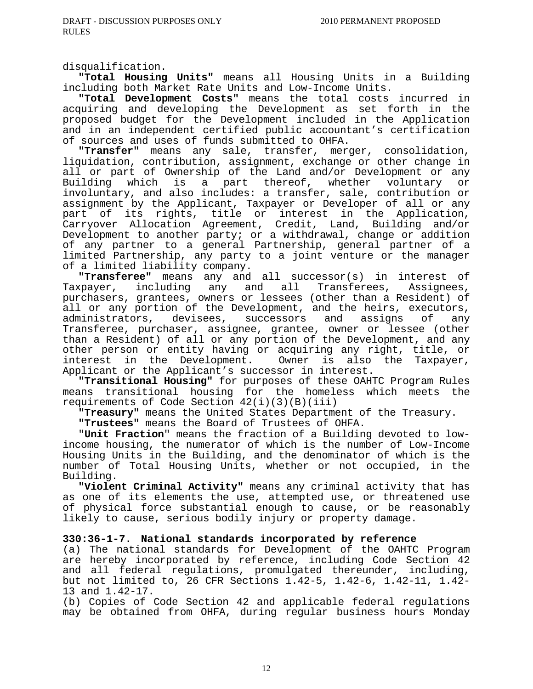disqualification.

 **"Total Housing Units"** means all Housing Units in a Building including both Market Rate Units and Low-Income Units.

 **"Total Development Costs"** means the total costs incurred in acquiring and developing the Development as set forth in the proposed budget for the Development included in the Application and in an independent certified public accountant's certification<br>of sources and uses of funds submitted to OHFA.

"Transfer" means any sale, transfer, merger, consolidation, liquidation, contribution, assignment, exchange or other change in all or part of Ownership of the Land and/or Development or any Building which is a part thereof, whether voluntary or involuntary, and also includes: a transfer, sale, contribution or assignment by the Applicant, Taxpayer or Developer of all or any part of its rights, title or interest in the Application, Carryover Allocation Agreement, Credit, Land, Building and/or Development to another party; or a withdrawal, change or addition of any partner to a general Partnership, general partner of a limited Partnership, any party to a joint venture or the manager of a limited liability company.

 **"Transferee"** means any and all successor(s) in interest of Taxpayer, including any and all purchasers, grantees, owners or lessees (other than a Resident) of all or any portion of the Development, and the heirs, executors, administrators, devisees, successors and assigns of any Transferee, purchaser, assignee, grantee, owner or lessee (other than a Resident) of all or any portion of the Development, and any other person or entity having or acquiring any right, title, or interest in the Development. Owner is also the Taxpayer, Applicant or the Applicant's successor in interest.

 **"Transitional Housing"** for purposes of these OAHTC Program Rules means transitional housing for the homeless which meets the requirements of Code Section  $42(i)(3)(B)(iii)$ 

 **"Treasury"** means the United States Department of the Treasury.

 **"Trustees"** means the Board of Trustees of OHFA.

 "**Unit Fraction**" means the fraction of a Building devoted to lowincome housing, the numerator of which is the number of Low-Income Housing Units in the Building, and the denominator of which is the number of Total Housing Units, whether or not occupied, in the Building.

 **"Violent Criminal Activity"** means any criminal activity that has as one of its elements the use, attempted use, or threatened use of physical force substantial enough to cause, or be reasonably likely to cause, serious bodily injury or property damage.

#### **330:36-1-7. National standards incorporated by reference**

(a) The national standards for Development of the OAHTC Program are hereby incorporated by reference, including Code Section 42 and all federal regulations, promulgated thereunder, including, but not limited to, 26 CFR Sections 1.42-5, 1.42-6, 1.42-11, 1.42- 13 and 1.42-17.

(b) Copies of Code Section 42 and applicable federal regulations may be obtained from OHFA, during regular business hours Monday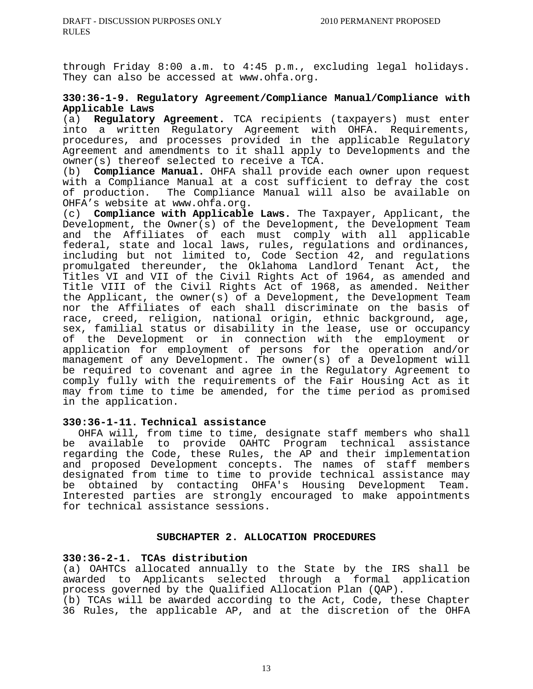through Friday 8:00 a.m. to 4:45 p.m., excluding legal holidays. They can also be accessed at www.ohfa.org.

# **330:36-1-9. Regulatory Agreement/Compliance Manual/Compliance with Applicable Laws**

(a) **Regulatory Agreement.** TCA recipients (taxpayers) must enter into a written Regulatory Agreement with OHFA. Requirements, procedures, and processes provided in the applicable Regulatory Agreement and amendments to it shall apply to Developments and the owner(s) thereof selected to receive a TCA.

(b) **Compliance Manual.** OHFA shall provide each owner upon request with a Compliance Manual at a cost sufficient to defray the cost of production. The Compliance Manual will also be available on OHFA's website at www.ohfa.org.

(c) **Compliance with Applicable Laws.** The Taxpayer, Applicant, the Development, the Owner(s) of the Development, the Development Team and the Affiliates of each must comply with all applicable federal, state and local laws, rules, regulations and ordinances, including but not limited to, Code Section 42, and regulations promulgated thereunder, the Oklahoma Landlord Tenant Act, the Titles VI and VII of the Civil Rights Act of 1964, as amended and Title VIII of the Civil Rights Act of 1968, as amended. Neither the Applicant, the owner(s) of a Development, the Development Team nor the Affiliates of each shall discriminate on the basis of race, creed, religion, national origin, ethnic background, age, sex, familial status or disability in the lease, use or occupancy of the Development or in connection with the employment or application for employment of persons for the operation and/or management of any Development. The owner(s) of a Development will be required to covenant and agree in the Regulatory Agreement to comply fully with the requirements of the Fair Housing Act as it may from time to time be amended, for the time period as promised in the application.

#### **330:36-1-11. Technical assistance**

 OHFA will, from time to time, designate staff members who shall be available to provide OAHTC Program technical assistance regarding the Code, these Rules, the AP and their implementation and proposed Development concepts. The names of staff members designated from time to time to provide technical assistance may be obtained by contacting OHFA's Housing Development Team. Interested parties are strongly encouraged to make appointments for technical assistance sessions.

# **SUBCHAPTER 2. ALLOCATION PROCEDURES**

#### **330:36-2-1. TCAs distribution**

(a) OAHTCs allocated annually to the State by the IRS shall be awarded to Applicants selected through a formal application process governed by the Qualified Allocation Plan (QAP).

(b) TCAs will be awarded according to the Act, Code, these Chapter 36 Rules, the applicable AP, and at the discretion of the OHFA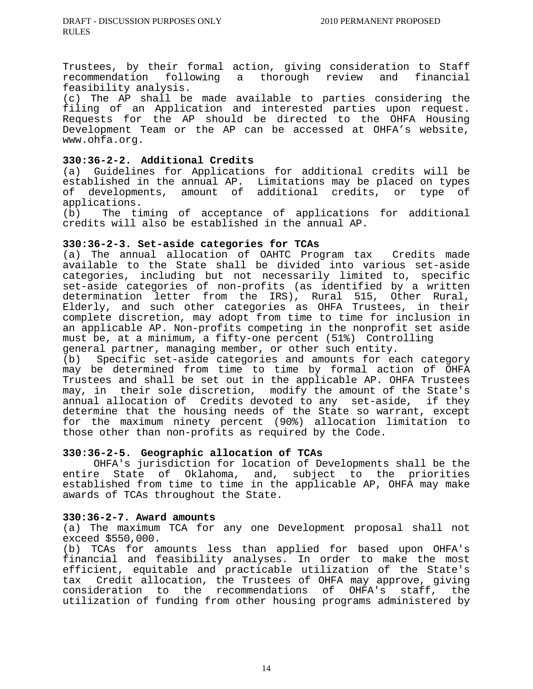Trustees, by their formal action, giving consideration to Staff recommendation following a thorough review and financial feasibility analysis.

(c) The AP shall be made available to parties considering the filing of an Application and interested parties upon request. Requests for the AP should be directed to the OHFA Housing Development Team or the AP can be accessed at OHFA's website, www.ohfa.org.

# **330:36-2-2. Additional Credits**

(a) Guidelines for Applications for additional credits will be established in the annual AP. Limitations may be placed on types of developments, amount of additional credits, or type of applications.

(b) The timing of acceptance of applications for additional credits will also be established in the annual AP.

# **330:36-2-3. Set-aside categories for TCAs**

(a) The annual allocation of OAHTC Program tax Credits made available to the State shall be divided into various set-aside categories, including but not necessarily limited to, specific set-aside categories of non-profits (as identified by a written determination letter from the IRS), Rural 515, Other Rural, Elderly, and such other categories as OHFA Trustees, in their complete discretion, may adopt from time to time for inclusion in an applicable AP. Non-profits competing in the nonprofit set aside must be, at a minimum, a fifty-one percent (51%) Controlling general partner, managing member, or other such entity.

(b) Specific set-aside categories and amounts for each category may be determined from time to time by formal action of OHFA Trustees and shall be set out in the applicable AP. OHFA Trustees may, in their sole discretion, modify the amount of the State's annual allocation of Credits devoted to any set-aside, if they determine that the housing needs of the State so warrant, except for the maximum ninety percent (90%) allocation limitation to those other than non-profits as required by the Code.

# **330:36-2-5. Geographic allocation of TCAs**

 OHFA's jurisdiction for location of Developments shall be the entire State of Oklahoma, and, subject to the priorities established from time to time in the applicable AP, OHFA may make awards of TCAs throughout the State.

#### **330:36-2-7. Award amounts**

(a) The maximum TCA for any one Development proposal shall not exceed \$550,000.

(b) TCAs for amounts less than applied for based upon OHFA's financial and feasibility analyses. In order to make the most efficient, equitable and practicable utilization of the State's tax Credit allocation, the Trustees of OHFA may approve, giving consideration to the recommendations of OHFA's staff, the utilization of funding from other housing programs administered by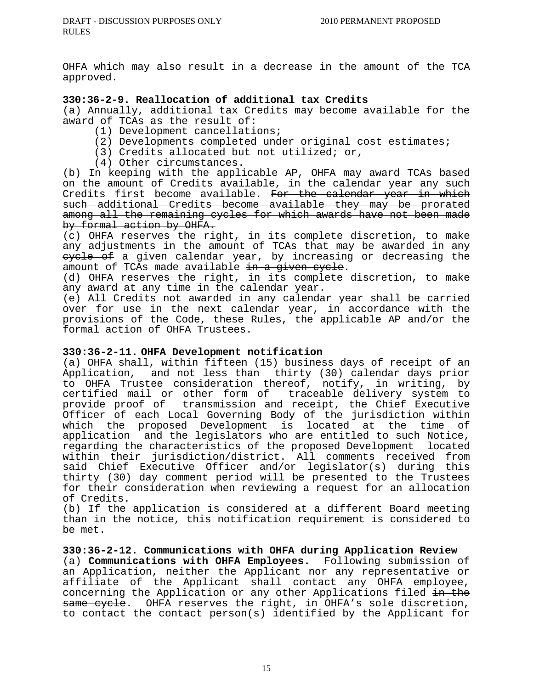OHFA which may also result in a decrease in the amount of the TCA approved.

# **330:36-2-9. Reallocation of additional tax Credits**

(a) Annually, additional tax Credits may become available for the award of TCAs as the result of:

- (1) Development cancellations;
- (2) Developments completed under original cost estimates;
- (3) Credits allocated but not utilized; or,
- (4) Other circumstances.

(b) In keeping with the applicable AP, OHFA may award TCAs based on the amount of Credits available, in the calendar year any such Credits first become available. For the calendar year in which such additional Credits become available they may be prorated among all the remaining cycles for which awards have not been made by formal action by OHFA.

(c) OHFA reserves the right, in its complete discretion, to make any adjustments in the amount of TCAs that may be awarded in any eyele of a given calendar year, by increasing or decreasing the amount of TCAs made available in a given cycle.

(d) OHFA reserves the right, in its complete discretion, to make any award at any time in the calendar year.

(e) All Credits not awarded in any calendar year shall be carried over for use in the next calendar year, in accordance with the provisions of the Code, these Rules, the applicable AP and/or the formal action of OHFA Trustees.

## **330:36-2-11. OHFA Development notification**

(a) OHFA shall, within fifteen (15) business days of receipt of an Application, and not less than thirty (30) calendar days prior to OHFA Trustee consideration thereof, notify, in writing, by certified mail or other form of traceable delivery system to provide proof of transmission and receipt, the Chief Executive Officer of each Local Governing Body of the jurisdiction within which the proposed Development is located at the time of application and the legislators who are entitled to such Notice, regarding the characteristics of the proposed Development located within their jurisdiction/district. All comments received from said Chief Executive Officer and/or legislator(s) during this thirty (30) day comment period will be presented to the Trustees for their consideration when reviewing a request for an allocation of Credits.

(b) If the application is considered at a different Board meeting than in the notice, this notification requirement is considered to be met.

**330:36-2-12. Communications with OHFA during Application Review**  (a) **Communications with OHFA Employees.** Following submission of an Application, neither the Applicant nor any representative or affiliate of the Applicant shall contact any OHFA employee, concerning the Application or any other Applications filed in the same cycle. OHFA reserves the right, in OHFA's sole discretion, to contact the contact person(s) identified by the Applicant for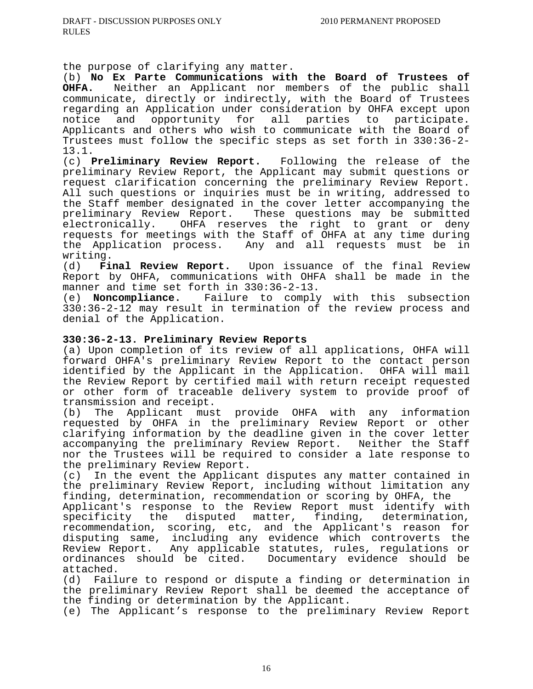the purpose of clarifying any matter.

(b) **No Ex Parte Communications with the Board of Trustees of OHFA.** Neither an Applicant nor members of the public shall communicate, directly or indirectly, with the Board of Trustees regarding an Application under consideration by OHFA except upon<br>notice and opportunity for all parties to participate. and opportunity for all parties to participate. Applicants and others who wish to communicate with the Board of Trustees must follow the specific steps as set forth in 330:36-2- 13.1.

(c) **Preliminary Review Report.** Following the release of the preliminary Review Report, the Applicant may submit questions or request clarification concerning the preliminary Review Report. All such questions or inquiries must be in writing, addressed to the Staff member designated in the cover letter accompanying the<br>preliminary Review Report. These questions may be submitted These questions may be submitted electronically. OHFA reserves the right to grant or deny requests for meetings with the Staff of OHFA at any time during the Application process. Any and all requests must be in

writing.<br>(d) **Final Review Report.** (d) **Final Review Report.** Upon issuance of the final Review Report by OHFA, communications with OHFA shall be made in the manner and time set forth in 330:36-2-13.

(e) **Noncompliance.** Failure to comply with this subsection 330:36-2-12 may result in termination of the review process and denial of the Application.

# **330:36-2-13. Preliminary Review Reports**

(a) Upon completion of its review of all applications, OHFA will forward OHFA's preliminary Review Report to the contact person identified by the Applicant in the Application. OHFA will mail the Review Report by certified mail with return receipt requested or other form of traceable delivery system to provide proof of transmission and receipt.

(b) The Applicant must provide OHFA with any information requested by OHFA in the preliminary Review Report or other clarifying information by the deadline given in the cover letter accompanying the preliminary Review Report. Neither the Staff nor the Trustees will be required to consider a late response to the preliminary Review Report.

(c) In the event the Applicant disputes any matter contained in the preliminary Review Report, including without limitation any finding, determination, recommendation or scoring by OHFA, the

Applicant's response to the Review Report must identify with specificity the disputed matter, finding, determination, recommendation, scoring, etc, and the Applicant's reason for disputing same, including any evidence which controverts the Review Report. Any applicable statutes, rules, regulations or Documentary evidence should be attached.

(d) Failure to respond or dispute a finding or determination in the preliminary Review Report shall be deemed the acceptance of the finding or determination by the Applicant.

(e) The Applicant's response to the preliminary Review Report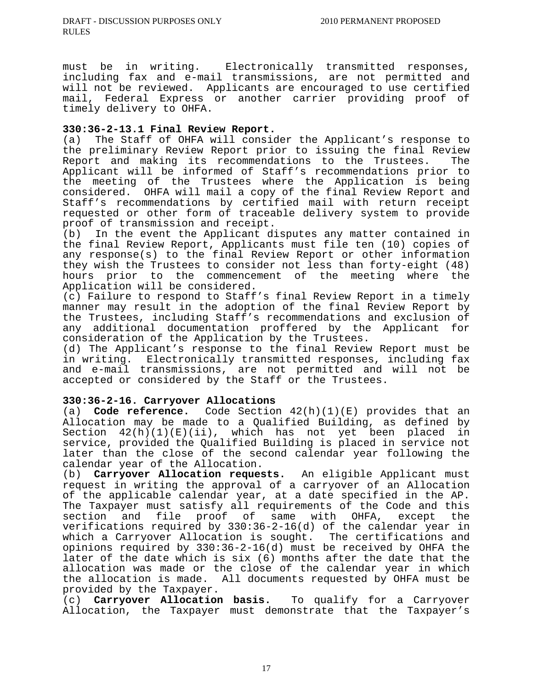must be in writing. Electronically transmitted responses, including fax and e-mail transmissions, are not permitted and will not be reviewed. Applicants are encouraged to use certified mail, Federal Express or another carrier providing proof of timely delivery to OHFA.

#### **330:36-2-13.1 Final Review Report.**

(a) The Staff of OHFA will consider the Applicant's response to the preliminary Review Report prior to issuing the final Review Report and making its recommendations to the Trustees. The Applicant will be informed of Staff's recommendations prior to the meeting of the Trustees where the Application is being considered. OHFA will mail a copy of the final Review Report and Staff's recommendations by certified mail with return receipt requested or other form of traceable delivery system to provide proof of transmission and receipt.

(b) In the event the Applicant disputes any matter contained in the final Review Report, Applicants must file ten (10) copies of any response(s) to the final Review Report or other information they wish the Trustees to consider not less than forty-eight (48) hours prior to the commencement of the meeting where the Application will be considered.

(c) Failure to respond to Staff's final Review Report in a timely manner may result in the adoption of the final Review Report by the Trustees, including Staff's recommendations and exclusion of any additional documentation proffered by the Applicant for consideration of the Application by the Trustees.

(d) The Applicant's response to the final Review Report must be in writing. Electronically transmitted responses, including fax and e-mail transmissions, are not permitted and will not be accepted or considered by the Staff or the Trustees.

#### **330:36-2-16. Carryover Allocations**

(a) **Code reference.** Code Section 42(h)(1)(E) provides that an Allocation may be made to a Qualified Building, as defined by Section 42(h)(1)(E)(ii), which has not yet been placed in service, provided the Qualified Building is placed in service not later than the close of the second calendar year following the calendar year of the Allocation.

(b) **Carryover Allocation requests.** An eligible Applicant must request in writing the approval of a carryover of an Allocation of the applicable calendar year, at a date specified in the AP. The Taxpayer must satisfy all requirements of the Code and this section and file proof of same with OHFA, except the verifications required by 330:36-2-16(d) of the calendar year in which a Carryover Allocation is sought. The certifications and opinions required by 330:36-2-16(d) must be received by OHFA the later of the date which is six (6) months after the date that the allocation was made or the close of the calendar year in which the allocation is made. All documents requested by OHFA must be provided by the Taxpayer.

(c) **Carryover Allocation basis.** To qualify for a Carryover Allocation, the Taxpayer must demonstrate that the Taxpayer's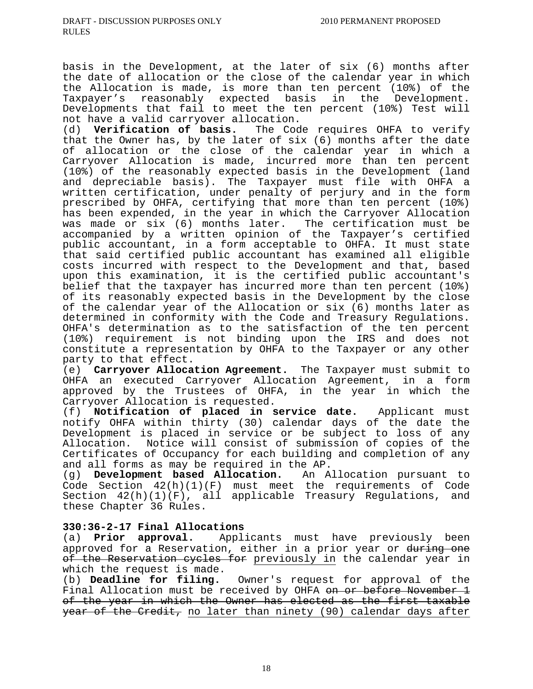basis in the Development, at the later of six (6) months after the date of allocation or the close of the calendar year in which the Allocation is made, is more than ten percent (10%) of the Taxpayer's reasonably expected basis in the Development. Developments that fail to meet the ten percent (10%) Test will

not have a valid carryover allocation.<br>(d) **Verification of basis.** The Cod The Code requires OHFA to verify that the Owner has, by the later of six (6) months after the date of allocation or the close of the calendar year in which a Carryover Allocation is made, incurred more than ten percent (10%) of the reasonably expected basis in the Development (land and depreciable basis). The Taxpayer must file with OHFA a written certification, under penalty of perjury and in the form prescribed by OHFA, certifying that more than ten percent (10%) has been expended, in the year in which the Carryover Allocation was made or six (6) months later. The certification must be accompanied by a written opinion of the Taxpayer's certified public accountant, in a form acceptable to OHFA. It must state that said certified public accountant has examined all eligible costs incurred with respect to the Development and that, based upon this examination, it is the certified public accountant's belief that the taxpayer has incurred more than ten percent (10%) of its reasonably expected basis in the Development by the close of the calendar year of the Allocation or six (6) months later as determined in conformity with the Code and Treasury Regulations. OHFA's determination as to the satisfaction of the ten percent (10%) requirement is not binding upon the IRS and does not constitute a representation by OHFA to the Taxpayer or any other party to that effect.

(e) **Carryover Allocation Agreement.** The Taxpayer must submit to OHFA an executed Carryover Allocation Agreement, in a form approved by the Trustees of OHFA, in the year in which the Carryover Allocation is requested.

(f) **Notification of placed in service date.** Applicant must notify OHFA within thirty (30) calendar days of the date the Development is placed in service or be subject to loss of any Allocation. Notice will consist of submission of copies of the Certificates of Occupancy for each building and completion of any and all forms as may be required in the AP.

(g) **Development based Allocation.** An Allocation pursuant to Code Section  $42(h)(1)(F)$  must meet the requirements of Code Section 42(h)(1)(F), all applicable Treasury Regulations, and these Chapter 36 Rules.

# **330:36-2-17 Final Allocations**

(a) **Prior approval.** Applicants must have previously been approved for a Reservation, either in a prior year or during one of the Reservation cycles for previously in the calendar year in which the request is made.

(b) **Deadline for filing.** Owner's request for approval of the Final Allocation must be received by OHFA on or before November 1 of the year in which the Owner has elected as the first taxable year of the Credit, no later than ninety (90) calendar days after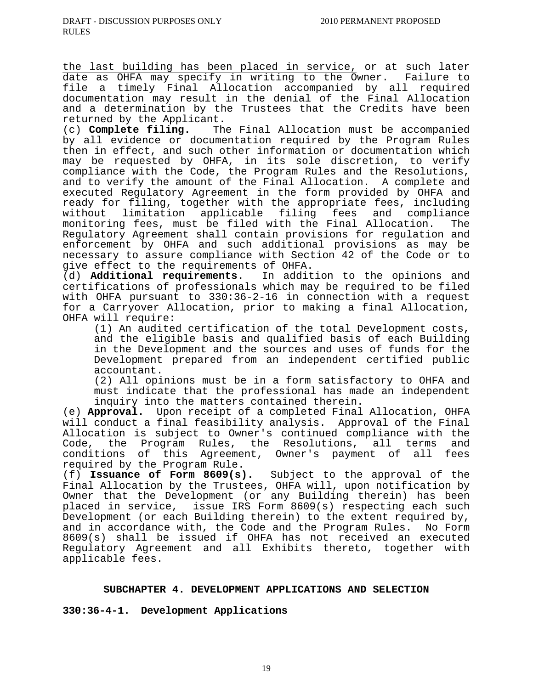the last building has been placed in service, or at such later date as OHFA may specify in writing to the Owner. Failure to file a timely Final Allocation accompanied by all required documentation may result in the denial of the Final Allocation and a determination by the Trustees that the Credits have been returned by the Applicant.<br>(c) **Complete filing.** Th

The Final Allocation must be accompanied by all evidence or documentation required by the Program Rules then in effect, and such other information or documentation which may be requested by OHFA, in its sole discretion, to verify compliance with the Code, the Program Rules and the Resolutions, and to verify the amount of the Final Allocation. A complete and executed Regulatory Agreement in the form provided by OHFA and ready for filing, together with the appropriate fees, including without limitation applicable filing fees and compliance<br>monitoring=fees, must be filed with the Final Allocation. The monitoring fees, must be filed with the Final Allocation. Regulatory Agreement shall contain provisions for regulation and enforcement by OHFA and such additional provisions as may be necessary to assure compliance with Section 42 of the Code or to give effect to the requirements of OHFA.

(d) **Additional requirements.** In addition to the opinions and certifications of professionals which may be required to be filed with OHFA pursuant to 330:36-2-16 in connection with a request for a Carryover Allocation, prior to making a final Allocation, OHFA will require:

 (1) An audited certification of the total Development costs, and the eligible basis and qualified basis of each Building in the Development and the sources and uses of funds for the Development prepared from an independent certified public accountant.

 (2) All opinions must be in a form satisfactory to OHFA and must indicate that the professional has made an independent inquiry into the matters contained therein.

(e) **Approval.** Upon receipt of a completed Final Allocation, OHFA will conduct a final feasibility analysis. Approval of the Final Allocation is subject to Owner's continued compliance with the Code, the Program Rules, the Resolutions, all terms and conditions of this Agreement, Owner's payment of all fees required by the Program Rule.

(f) **Issuance of Form 8609(s).** Subject to the approval of the Final Allocation by the Trustees, OHFA will, upon notification by Owner that the Development (or any Building therein) has been placed in service, issue IRS Form 8609(s) respecting each such Development (or each Building therein) to the extent required by, and in accordance with, the Code and the Program Rules. No Form 8609(s) shall be issued if OHFA has not received an executed Regulatory Agreement and all Exhibits thereto, together with applicable fees.

#### **SUBCHAPTER 4. DEVELOPMENT APPLICATIONS AND SELECTION**

**330:36-4-1. Development Applications**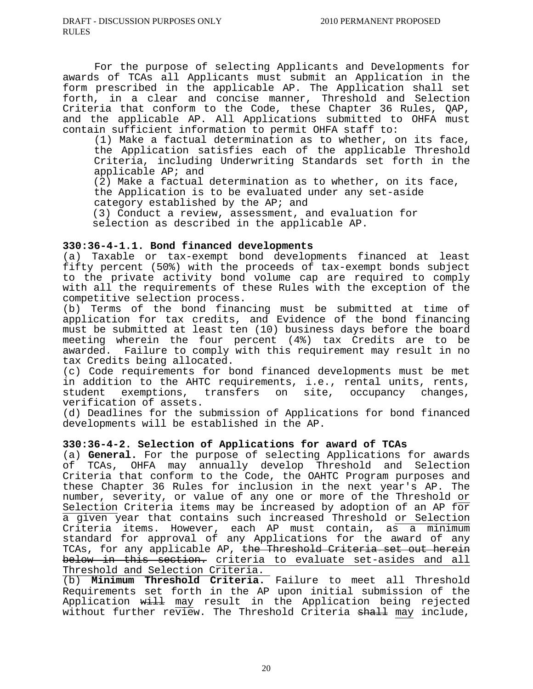For the purpose of selecting Applicants and Developments for awards of TCAs all Applicants must submit an Application in the form prescribed in the applicable AP. The Application shall set forth, in a clear and concise manner, Threshold and Selection Criteria that conform to the Code, these Chapter 36 Rules, QAP, and the applicable AP. All Applications submitted to OHFA must contain sufficient information to permit OHFA staff to:

(1) Make a factual determination as to whether, on its face, the Application satisfies each of the applicable Threshold Criteria, including Underwriting Standards set forth in the applicable AP; and

 (2) Make a factual determination as to whether, on its face, the Application is to be evaluated under any set-aside category established by the AP; and

 (3) Conduct a review, assessment, and evaluation for selection as described in the applicable AP.

# **330:36-4-1.1. Bond financed developments**

(a) Taxable or tax-exempt bond developments financed at least fifty percent (50%) with the proceeds of tax-exempt bonds subject to the private activity bond volume cap are required to comply with all the requirements of these Rules with the exception of the competitive selection process.

(b) Terms of the bond financing must be submitted at time of application for tax credits, and Evidence of the bond financing must be submitted at least ten (10) business days before the board meeting wherein the four percent (4%) tax Credits are to be awarded. Failure to comply with this requirement may result in no tax Credits being allocated.

(c) Code requirements for bond financed developments must be met in addition to the AHTC requirements, i.e., rental units, rents, student exemptions, transfers on site, occupancy changes, verification of assets.

(d) Deadlines for the submission of Applications for bond financed developments will be established in the AP.

# **330:36-4-2. Selection of Applications for award of TCAs**

(a) **General.** For the purpose of selecting Applications for awards of TCAs, OHFA may annually develop Threshold and Selection Criteria that conform to the Code, the OAHTC Program purposes and these Chapter 36 Rules for inclusion in the next year's AP. The number, severity, or value of any one or more of the Threshold or Selection Criteria items may be increased by adoption of an AP for a given year that contains such increased Threshold or Selection Criteria items. However, each AP must contain, as a minimum standard for approval of any Applications for the award of any TCAs, for any applicable AP, the Threshold Criteria set out herein below in this section. criteria to evaluate set-asides and all Threshold and Selection Criteria.

(b) **Minimum Threshold Criteria.** Failure to meet all Threshold Requirements set forth in the AP upon initial submission of the Application will may result in the Application being rejected without further review. The Threshold Criteria shall may include,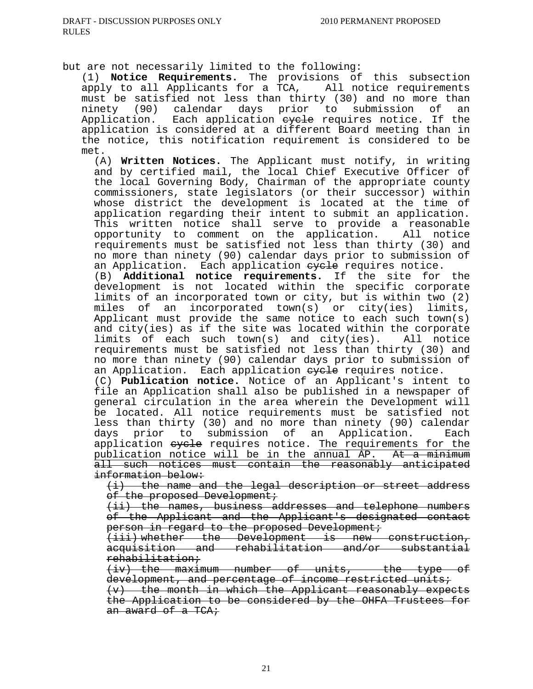but are not necessarily limited to the following:

(1) **Notice Requirements.** The provisions of this subsection apply to all Applicants for a TCA, All notice requirements must be satisfied not less than thirty (30) and no more than ninety (90) calendar days prior to submission of an Application. Each application eyele requires notice. If the application is considered at a different Board meeting than in the notice, this notification requirement is considered to be met.

(A) **Written Notices.** The Applicant must notify, in writing and by certified mail, the local Chief Executive Officer of the local Governing Body, Chairman of the appropriate county commissioners, state legislators (or their successor) within whose district the development is located at the time of application regarding their intent to submit an application. This written notice shall serve to provide a reasonable opportunity to comment on the application. All notice requirements must be satisfied not less than thirty (30) and no more than ninety (90) calendar days prior to submission of an Application. Each application eyele requires notice.

(B) **Additional notice requirements.** If the site for the development is not located within the specific corporate limits of an incorporated town or city, but is within two (2) miles of an incorporated town(s) or city(ies) limits, Applicant must provide the same notice to each such town(s) and city(ies) as if the site was located within the corporate limits of each such town(s) and city(ies). All notice requirements must be satisfied not less than thirty (30) and no more than ninety (90) calendar days prior to submission of an Application. Each application eyele requires notice.

(C) **Publication notice.** Notice of an Applicant's intent to file an Application shall also be published in a newspaper of general circulation in the area wherein the Development will be located. All notice requirements must be satisfied not less than thirty (30) and no more than ninety (90) calendar days prior to submission of an Application. Each application eyele requires notice. The requirements for the publication notice will be in the annual AP. At a minimum all such notices must contain the reasonably anticipated information below:

(i) the name and the legal description or street address of the proposed Development;

(ii) the names, business addresses and telephone numbers of the Applicant and the Applicant's designated contact person in regard to the proposed Development;

(iii) whether the Development is new construction, acquisition and rehabilitation and/or substantial rehabilitation;

(iv) the maximum number of units, the type of development, and percentage of income restricted units;

(v) the month in which the Applicant reasonably expects the Application to be considered by the OHFA Trustees for an award of a TCA;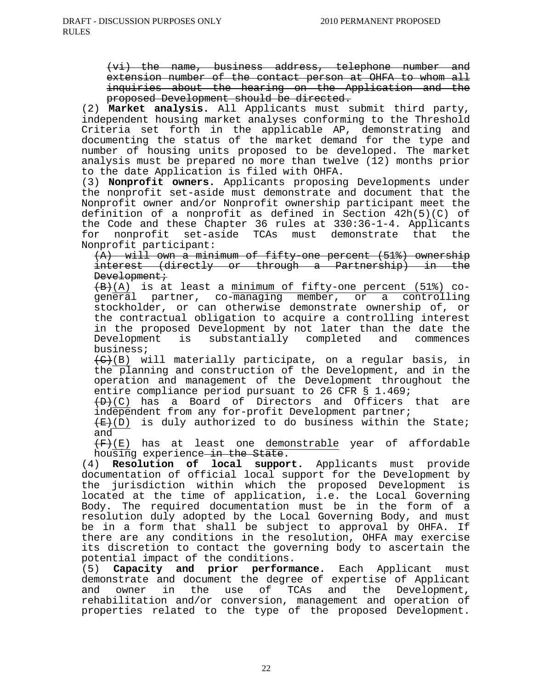(vi) the name, business address, telephone number and extension number of the contact person at OHFA to whom all inquiries about the hearing on the Application and the proposed Development should be directed.

(2) **Market analysis.** All Applicants must submit third party, independent housing market analyses conforming to the Threshold Criteria set forth in the applicable AP, demonstrating and documenting the status of the market demand for the type and number of housing units proposed to be developed. The market analysis must be prepared no more than twelve (12) months prior to the date Application is filed with OHFA.

(3) **Nonprofit owners.** Applicants proposing Developments under the nonprofit set-aside must demonstrate and document that the Nonprofit owner and/or Nonprofit ownership participant meet the definition of a nonprofit as defined in Section 42h(5)(C) of the Code and these Chapter 36 rules at 330:36-1-4. Applicants for nonprofit set-aside TCAs must demonstrate that the Nonprofit participant:

(A) will own a minimum of fifty-one percent (51%) ownership interest (directly or through a Partnership) in the Development;

 $\overline{(B)}$ (A) is at least a minimum of fifty-one percent (51%) cogeneral partner, co-managing member, or a controlling stockholder, or can otherwise demonstrate ownership of, or the contractual obligation to acquire a controlling interest in the proposed Development by not later than the date the<br>Development is substantially completed and commences Development is substantially completed business;

 $\left(\frac{1}{\sqrt{C}}\right)$  will materially participate, on a regular basis, in the planning and construction of the Development, and in the operation and management of the Development throughout the entire compliance period pursuant to 26 CFR § 1.469;

 $(D+(C))$  has a Board of Directors and Officers that are independent from any for-profit Development partner;

 $(E+(D)$  is duly authorized to do business within the State; and

 $(F)$  has at least one demonstrable year of affordable housing experience in the State.

(4) **Resolution of local support.** Applicants must provide documentation of official local support for the Development by the jurisdiction within which the proposed Development is located at the time of application, i.e. the Local Governing Body. The required documentation must be in the form of a resolution duly adopted by the Local Governing Body, and must be in a form that shall be subject to approval by OHFA. If there are any conditions in the resolution, OHFA may exercise its discretion to contact the governing body to ascertain the potential impact of the conditions.

(5) **Capacity and prior performance.** Each Applicant must demonstrate and document the degree of expertise of Applicant and owner in the use of TCAs and the Development, rehabilitation and/or conversion, management and operation of properties related to the type of the proposed Development.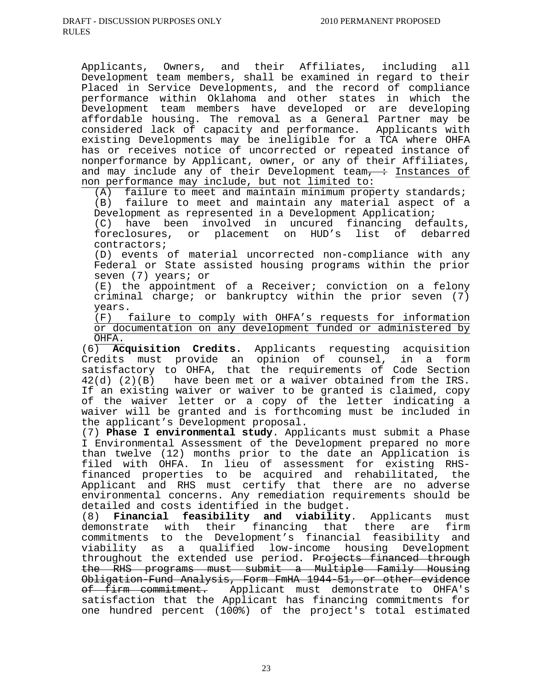Applicants, Owners, and their Affiliates, including all Development team members, shall be examined in regard to their Placed in Service Developments, and the record of compliance performance within Oklahoma and other states in which the Development team members have developed or are developing affordable housing. The removal as a General Partner may be considered lack of capacity and performance. Applicants with existing Developments may be ineligible for a TCA where OHFA has or receives notice of uncorrected or repeated instance of nonperformance by Applicant, owner, or any of their Affiliates, and may include any of their Development team $\rightarrow$  Instances of non performance may include, but not limited to:

(A) failure to meet and maintain minimum property standards; (B) failure to meet and maintain any material aspect of a Development as represented in a Development Application;

(C) have been involved in uncured financing defaults, foreclosures, or placement on HUD's list of debarred contractors;

(D) events of material uncorrected non-compliance with any Federal or State assisted housing programs within the prior seven (7) years; or

(E) the appointment of a Receiver; conviction on a felony criminal charge; or bankruptcy within the prior seven (7) years.

(F) failure to comply with OHFA's requests for information or documentation on any development funded or administered by OHFA.

(6) **Acquisition Credits.** Applicants requesting acquisition Credits must provide an opinion of counsel, in a form satisfactory to OHFA, that the requirements of Code Section 42(d) (2)(B) have been met or a waiver obtained from the IRS. If an existing waiver or waiver to be granted is claimed, copy of the waiver letter or a copy of the letter indicating a waiver will be granted and is forthcoming must be included in the applicant's Development proposal.

(7) **Phase I environmental study**. Applicants must submit a Phase I Environmental Assessment of the Development prepared no more than twelve (12) months prior to the date an Application is filed with OHFA. In lieu of assessment for existing RHSfinanced properties to be acquired and rehabilitated, the Applicant and RHS must certify that there are no adverse environmental concerns. Any remediation requirements should be detailed and costs identified in the budget.

(8) **Financial feasibility and viability**. Applicants must demonstrate with their financing that there are firm commitments to the Development's financial feasibility and viability as a qualified low-income housing Development throughout the extended use period. Projects financed through the RHS programs must submit a Multiple Family Housing Obligation-Fund Analysis, Form FmHA 1944-51, or other evidence of firm commitment. Applicant must demonstrate to OHFA's satisfaction that the Applicant has financing commitments for one hundred percent (100%) of the project's total estimated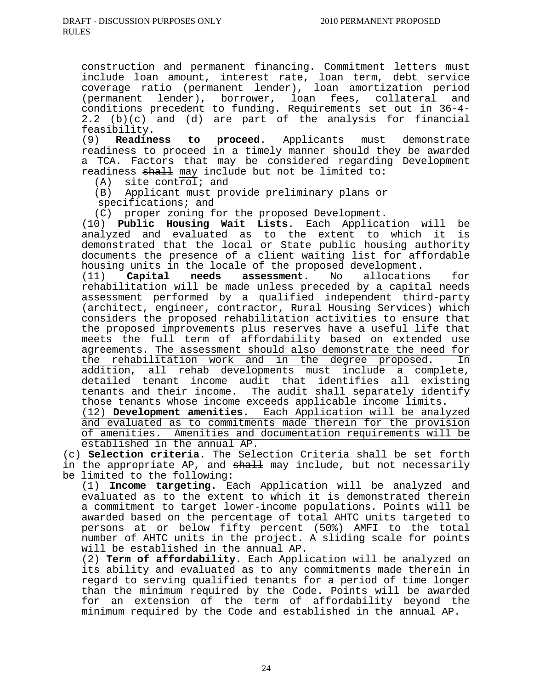construction and permanent financing. Commitment letters must include loan amount, interest rate, loan term, debt service coverage ratio (permanent lender), loan amortization period (permanent lender), borrower, loan fees, collateral and conditions precedent to funding. Requirements set out in 36-4- 2.2 (b)(c) and (d) are part of the analysis for financial feasibility.

(9) **Readiness to proceed**. Applicants must demonstrate readiness to proceed in a timely manner should they be awarded a TCA. Factors that may be considered regarding Development readiness shall may include but not be limited to:

 $(A)$  site control; and

(B) Applicant must provide preliminary plans or

specifications; and

(C) proper zoning for the proposed Development.

(10) **Public Housing Wait Lists**. Each Application will be analyzed and evaluated as to the extent to which it is demonstrated that the local or State public housing authority documents the presence of a client waiting list for affordable

housing units in the locale of the proposed development.<br>(11) **Capital needs assessment.** No allocation (11) **Capital needs assessment.** No allocations for rehabilitation will be made unless preceded by a capital needs assessment performed by a qualified independent third-party (architect, engineer, contractor, Rural Housing Services) which considers the proposed rehabilitation activities to ensure that the proposed improvements plus reserves have a useful life that meets the full term of affordability based on extended use agreements. The assessment should also demonstrate the need for the rehabilitation work and in the degree proposed. In addition, all rehab developments must include a complete, detailed tenant income audit that identifies all existing tenants and their income. The audit shall separately identify those tenants whose income exceeds applicable income limits. (12) **Development amenities.** Each Application will be analyzed and evaluated as to commitments made therein for the provision of amenities. Amenities and documentation requirements will be

established in the annual AP.

(c) **Selection criteria.** The Selection Criteria shall be set forth in the appropriate AP, and shall may include, but not necessarily be limited to the following:

(1) **Income targeting.** Each Application will be analyzed and evaluated as to the extent to which it is demonstrated therein a commitment to target lower-income populations. Points will be awarded based on the percentage of total AHTC units targeted to persons at or below fifty percent (50%) AMFI to the total number of AHTC units in the project. A sliding scale for points will be established in the annual AP.

(2) **Term of affordability.** Each Application will be analyzed on its ability and evaluated as to any commitments made therein in regard to serving qualified tenants for a period of time longer than the minimum required by the Code. Points will be awarded for an extension of the term of affordability beyond the minimum required by the Code and established in the annual AP.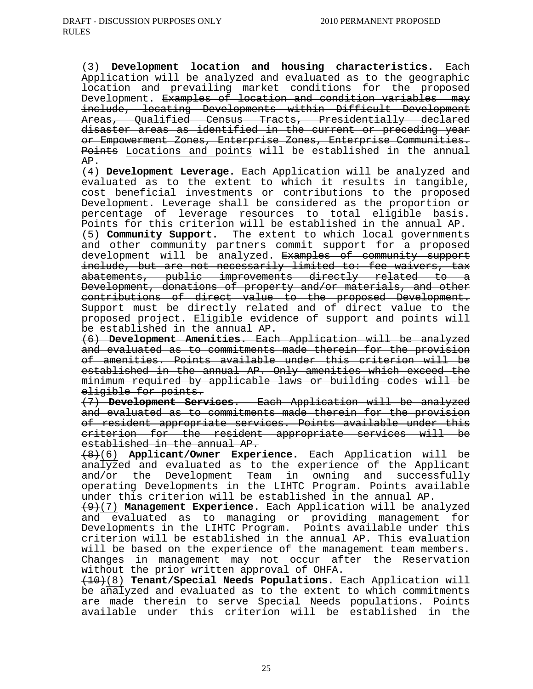(3) **Development location and housing characteristics.** Each Application will be analyzed and evaluated as to the geographic location and prevailing market conditions for the proposed Development. Examples of location and condition variables may include, locating Developments within Difficult Development Areas, Qualified Census Tracts, Presidentially declared disaster areas as identified in the current or preceding year or Empowerment Zones, Enterprise Zones, Enterprise Communities. Points Locations and points will be established in the annual AP.

(4) **Development Leverage.** Each Application will be analyzed and evaluated as to the extent to which it results in tangible, cost beneficial investments or contributions to the proposed Development. Leverage shall be considered as the proportion or percentage of leverage resources to total eligible basis. Points for this criterion will be established in the annual AP.

(5) **Community Support.** The extent to which local governments and other community partners commit support for a proposed development will be analyzed. Examples of community support include, but are not necessarily limited to: fee waivers, tax abatements, public improvements directly related to a Development, donations of property and/or materials, and other contributions of direct value to the proposed Development. Support must be directly related and of direct value to the proposed project. Eligible evidence of support and points will be established in the annual AP.

(6) **Development Amenities.** Each Application will be analyzed and evaluated as to commitments made therein for the provision of amenities. Points available under this criterion will be established in the annual AP. Only amenities which exceed the minimum required by applicable laws or building codes will be eligible for points.

(7) **Development Services.** Each Application will be analyzed and evaluated as to commitments made therein for the provision of resident appropriate services. Points available under this criterion for the resident appropriate services will be established in the annual AP.

(8)(6) **Applicant/Owner Experience.** Each Application will be analyzed and evaluated as to the experience of the Applicant and/or the Development Team in owning and successfully operating Developments in the LIHTC Program. Points available under this criterion will be established in the annual AP.

(9)(7) **Management Experience.** Each Application will be analyzed and evaluated as to managing or providing management for Developments in the LIHTC Program. Points available under this criterion will be established in the annual AP. This evaluation will be based on the experience of the management team members. Changes in management may not occur after the Reservation without the prior written approval of OHFA.

(10)(8) **Tenant/Special Needs Populations.** Each Application will be analyzed and evaluated as to the extent to which commitments are made therein to serve Special Needs populations. Points available under this criterion will be established in the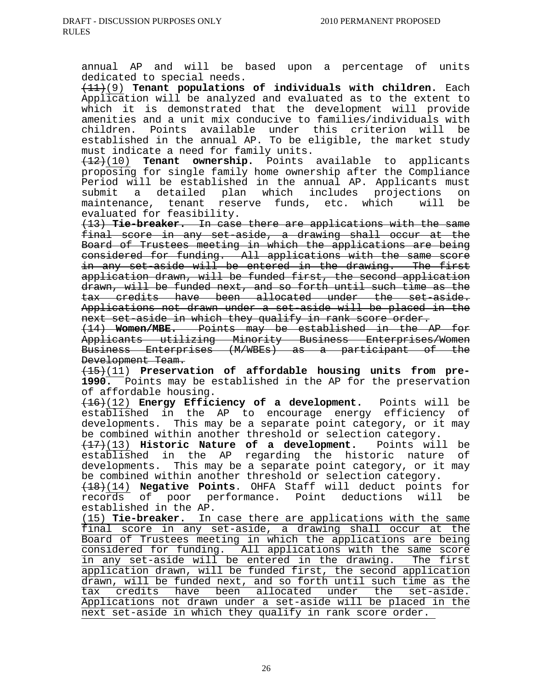annual AP and will be based upon a percentage of units dedicated to special needs.

(11)(9) **Tenant populations of individuals with children.** Each Application will be analyzed and evaluated as to the extent to which it is demonstrated that the development will provide amenities and a unit mix conducive to families/individuals with children. Points available under this criterion will be established in the annual AP. To be eligible, the market study must indicate a need for family units.

(12)(10) **Tenant ownership.** Points available to applicants proposing for single family home ownership after the Compliance Period will be established in the annual AP. Applicants must submit a detailed plan which includes projections on<br>maintenance, tenant reserve funds, etc. which will be maintenance, tenant reserve funds, etc. which evaluated for feasibility.

(13) **Tie-breaker.** In case there are applications with the same final score in any set-aside, a drawing shall occur at the Board of Trustees meeting in which the applications are being considered for funding. All applications with the same score in any set-aside will be entered in the drawing. The first application drawn, will be funded first, the second application drawn, will be funded next, and so forth until such time as the tax credits have been allocated under the set-aside. Applications not drawn under a set-aside will be placed in the<br>next set aside in which they qualify in rank score order.

next set-aside in which they qualify in rank score order. (14) **Women/MBE.** Points may be established in the AP for Applicants utilizing Minority Business Enterprises/Women Business Enterprises (M/WBEs) as a participant of the Development Team.

(15)(11) **Preservation of affordable housing units from pre-1990.** Points may be established in the AP for the preservation of affordable housing.

(16)(12) **Energy Efficiency of a development.** Points will be established in the AP to encourage energy efficiency of developments. This may be a separate point category, or it may be combined within another threshold or selection category.

(17)(13) **Historic Nature of a development.** Points will be established in the AP regarding the historic nature of developments. This may be a separate point category, or it may be combined within another threshold or selection category.

(18)(14) **Negative Points**. OHFA Staff will deduct points for records of poor performance. Point deductions will established in the AP.

(15) **Tie-breaker.** In case there are applications with the same final score in any set-aside, a drawing shall occur at the Board of Trustees meeting in which the applications are being considered for funding. All applications with the same score in any set-aside will be entered in the drawing. The first application drawn, will be funded first, the second application drawn, will be funded next, and so forth until such time as the tax credits have been allocated under the set-aside. Applications not drawn under a set-aside will be placed in the next set-aside in which they qualify in rank score order.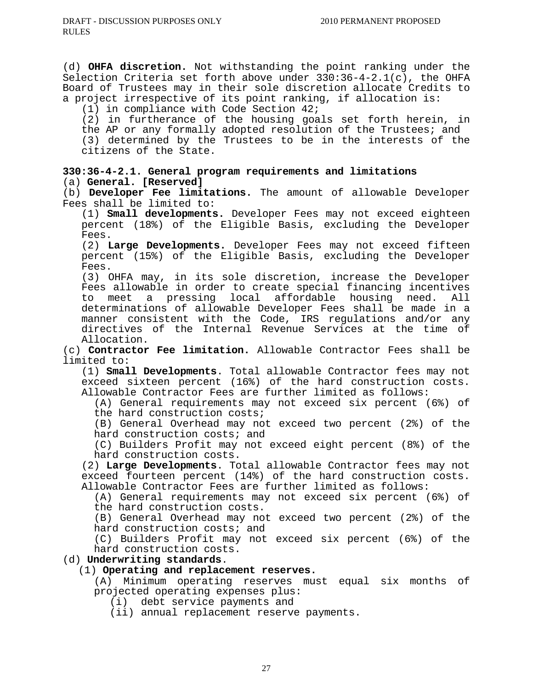(d) **OHFA discretion.** Not withstanding the point ranking under the Selection Criteria set forth above under 330:36-4-2.1(c), the OHFA Board of Trustees may in their sole discretion allocate Credits to a project irrespective of its point ranking, if allocation is:

(1) in compliance with Code Section 42;

(2) in furtherance of the housing goals set forth herein, in the AP or any formally adopted resolution of the Trustees; and (3) determined by the Trustees to be in the interests of the citizens of the State.

# **330:36-4-2.1. General program requirements and limitations** (a) **General. [Reserved]**

(b) **Developer Fee limitations.** The amount of allowable Developer Fees shall be limited to:

(1) **Small developments.** Developer Fees may not exceed eighteen percent (18%) of the Eligible Basis, excluding the Developer

Fees. (2) **Large Developments.** Developer Fees may not exceed fifteen percent (15%) of the Eligible Basis, excluding the Developer Fees.

(3) OHFA may, in its sole discretion, increase the Developer Fees allowable in order to create special financing incentives to meet a pressing local affordable housing need. All determinations of allowable Developer Fees shall be made in a manner consistent with the Code, IRS regulations and/or any directives of the Internal Revenue Services at the time of Allocation.

(c) **Contractor Fee limitation.** Allowable Contractor Fees shall be limited to:

(1) **Small Developments**. Total allowable Contractor fees may not exceed sixteen percent (16%) of the hard construction costs. Allowable Contractor Fees are further limited as follows:

(A) General requirements may not exceed six percent (6%) of the hard construction costs;

(B) General Overhead may not exceed two percent (2%) of the hard construction costs; and

(C) Builders Profit may not exceed eight percent (8%) of the hard construction costs.

(2) **Large Developments**. Total allowable Contractor fees may not exceed fourteen percent (14%) of the hard construction costs. Allowable Contractor Fees are further limited as follows:

(A) General requirements may not exceed six percent (6%) of the hard construction costs.

(B) General Overhead may not exceed two percent (2%) of the hard construction costs; and

(C) Builders Profit may not exceed six percent (6%) of the hard construction costs.

## (d) **Underwriting standards**.

#### (1) **Operating and replacement reserves.**

(A) Minimum operating reserves must equal six months of projected operating expenses plus:

(i) debt service payments and

(ii) annual replacement reserve payments.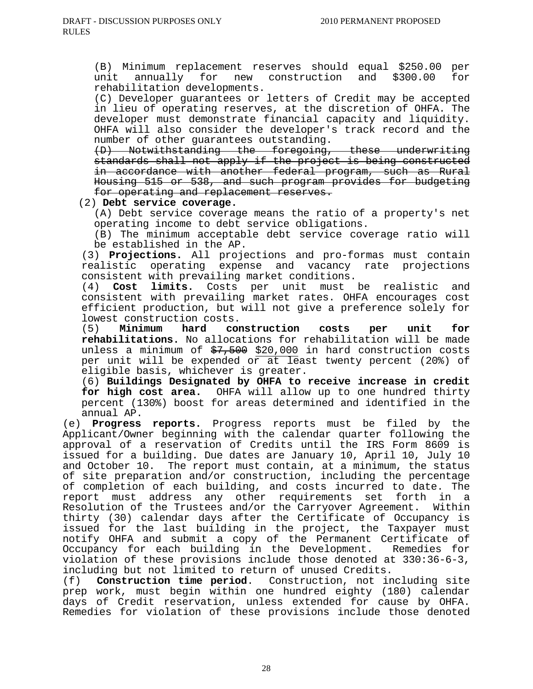(B) Minimum replacement reserves should equal \$250.00 per unit annually for new construction and \$300.00 for rehabilitation developments.

(C) Developer guarantees or letters of Credit may be accepted in lieu of operating reserves, at the discretion of OHFA. The developer must demonstrate financial capacity and liquidity. OHFA will also consider the developer's track record and the number of other guarantees outstanding.

(D) Notwithstanding the foregoing, these underwriting standards shall not apply if the project is being constructed in accordance with another federal program, such as Rural Housing 515 or 538, and such program provides for budgeting for operating and replacement reserves.

(2) **Debt service coverage.**

(A) Debt service coverage means the ratio of a property's net operating income to debt service obligations.

 (B) The minimum acceptable debt service coverage ratio will be established in the AP.

(3) **Projections.** All projections and pro-formas must contain realistic operating expense and vacancy rate projections consistent with prevailing market conditions.

(4) **Cost limits.** Costs per unit must be realistic and consistent with prevailing market rates. OHFA encourages cost efficient production, but will not give a preference solely for lowest construction costs.<br>(5) **Minimum hard con** 

(5) **Minimum hard construction costs per unit for rehabilitations.** No allocations for rehabilitation will be made unless a minimum of  $\frac{27}{500}$  \$20,000 in hard construction costs per unit will be expended or at least twenty percent (20%) of eligible basis, whichever is greater.

(6) **Buildings Designated by OHFA to receive increase in credit for high cost area.** OHFA will allow up to one hundred thirty percent (130%) boost for areas determined and identified in the annual AP.

(e) **Progress reports.** Progress reports must be filed by the Applicant/Owner beginning with the calendar quarter following the approval of a reservation of Credits until the IRS Form 8609 is issued for a building. Due dates are January 10, April 10, July 10 and October 10. The report must contain, at a minimum, the status of site preparation and/or construction, including the percentage of completion of each building, and costs incurred to date. The report must address any other requirements set forth in a Resolution of the Trustees and/or the Carryover Agreement. Within thirty (30) calendar days after the Certificate of Occupancy is issued for the last building in the project, the Taxpayer must notify OHFA and submit a copy of the Permanent Certificate of Occupancy for each building in the Development. Remedies for violation of these provisions include those denoted at 330:36-6-3, including but not limited to return of unused Credits.

(f) **Construction time period**. Construction, not including site prep work, must begin within one hundred eighty (180) calendar days of Credit reservation, unless extended for cause by OHFA. Remedies for violation of these provisions include those denoted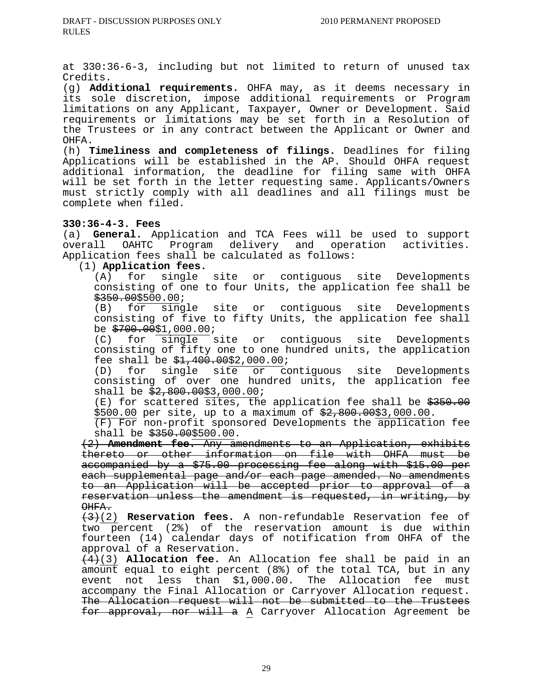at 330:36-6-3, including but not limited to return of unused tax Credits.

(g) **Additional requirements.** OHFA may, as it deems necessary in its sole discretion, impose additional requirements or Program limitations on any Applicant, Taxpayer, Owner or Development. Said requirements or limitations may be set forth in a Resolution of the Trustees or in any contract between the Applicant or Owner and OHFA.

(h) **Timeliness and completeness of filings.** Deadlines for filing Applications will be established in the AP. Should OHFA request additional information, the deadline for filing same with OHFA will be set forth in the letter requesting same. Applicants/Owners must strictly comply with all deadlines and all filings must be complete when filed.

# **330:36-4-3. Fees**

(a) **General.** Application and TCA Fees will be used to support overall OAHTC Program delivery and operation activities. Application fees shall be calculated as follows:

(1) **Application fees.**

single site or contiguous site Developments consisting of one to four Units, the application fee shall be

\$350.00\$500.00;<br>(B) for single (B) for single site or contiguous site Developments consisting of five to fifty Units, the application fee shall be  $$700.00$1,000.00;$ 

(C) for single site or contiguous site Developments consisting of fifty one to one hundred units, the application fee shall be  $$1,400.00$2,000.00;$ 

(D) for single site or contiguous site Developments consisting of over one hundred units, the application fee shall be  $\frac{2}{7}$ , 800.00\$3,000.00;

(E) for scattered sites, the application fee shall be \$350.00 \$500.00 per site, up to a maximum of \$2,800.00\$3,000.00.

 $(F)$  For non-profit sponsored Developments the application fee shall be  $$350.00$500.00.$ 

(2) **Amendment fee.** Any amendments to an Application, exhibits thereto or other information on file with OHFA must be accompanied by a \$75.00 processing fee along with \$15.00 per each supplemental page and/or each page amended. No amendments to an Application will be accepted prior to approval of a reservation unless the amendment is requested, in writing, by OHFA.

(3)(2) **Reservation fees.** A non-refundable Reservation fee of two percent (2%) of the reservation amount is due within fourteen (14) calendar days of notification from OHFA of the approval of a Reservation.

(4)(3) **Allocation fee.** An Allocation fee shall be paid in an amount equal to eight percent (8%) of the total TCA, but in any event not less than \$1,000.00. The Allocation fee must accompany the Final Allocation or Carryover Allocation request. The Allocation request will not be submitted to the Trustees for approval, nor will a A Carryover Allocation Agreement be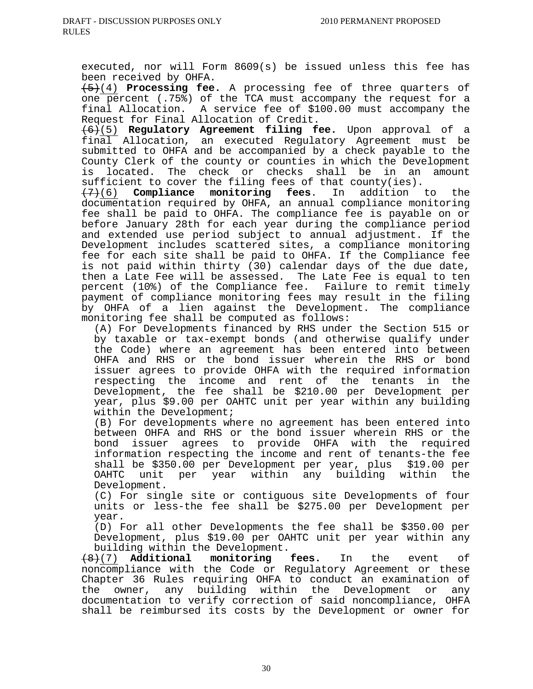executed, nor will Form 8609(s) be issued unless this fee has been received by OHFA.

(5)(4) **Processing fee.** A processing fee of three quarters of one percent (.75%) of the TCA must accompany the request for a final Allocation. A service fee of \$100.00 must accompany the Request for Final Allocation of Credit.

(6)(5) **Regulatory Agreement filing fee.** Upon approval of a final Allocation, an executed Regulatory Agreement must be submitted to OHFA and be accompanied by a check payable to the County Clerk of the county or counties in which the Development is located. The check or checks shall be in an amount sufficient to cover the filing fees of that county(ies).

(7)(6) **Compliance monitoring fees**. In addition to the documentation required by OHFA, an annual compliance monitoring fee shall be paid to OHFA. The compliance fee is payable on or before January 28th for each year during the compliance period and extended use period subject to annual adjustment. If the Development includes scattered sites, a compliance monitoring fee for each site shall be paid to OHFA. If the Compliance fee is not paid within thirty (30) calendar days of the due date, then a Late Fee will be assessed. The Late Fee is equal to ten percent (10%) of the Compliance fee. Failure to remit timely payment of compliance monitoring fees may result in the filing by OHFA of a lien against the Development. The compliance monitoring fee shall be computed as follows:

(A) For Developments financed by RHS under the Section 515 or by taxable or tax-exempt bonds (and otherwise qualify under the Code) where an agreement has been entered into between OHFA and RHS or the bond issuer wherein the RHS or bond issuer agrees to provide OHFA with the required information respecting the income and rent of the tenants in the Development, the fee shall be \$210.00 per Development per year, plus \$9.00 per OAHTC unit per year within any building within the Development;

(B) For developments where no agreement has been entered into between OHFA and RHS or the bond issuer wherein RHS or the issuer agrees to provide OHFA with the required information respecting the income and rent of tenants-the fee shall be \$350.00 per Development per year, plus \$19.00 per OAHTC unit per year within any building within the Development.

(C) For single site or contiguous site Developments of four units or less-the fee shall be \$275.00 per Development per year.

(D) For all other Developments the fee shall be \$350.00 per Development, plus \$19.00 per OAHTC unit per year within any

building within the Development.<br> $+(7)$  **Additional monitoring fees.** (8)(7) **Additional monitoring fees.** In the event of noncompliance with the Code or Regulatory Agreement or these Chapter 36 Rules requiring OHFA to conduct an examination of the owner, any building within the Development or any documentation to verify correction of said noncompliance, OHFA shall be reimbursed its costs by the Development or owner for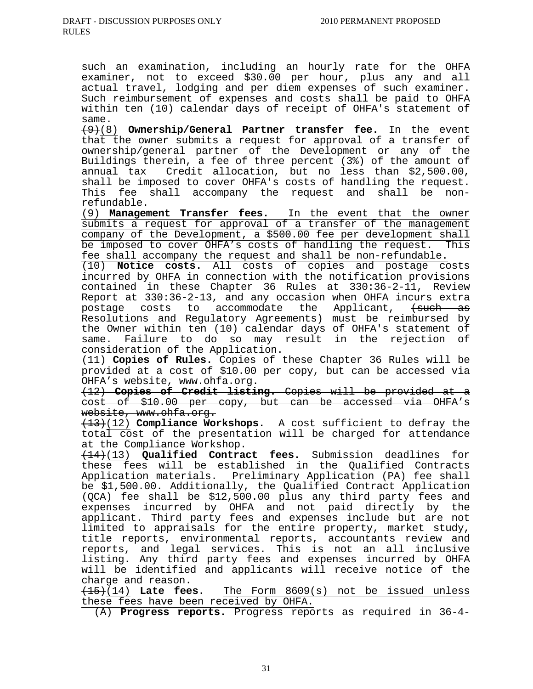such an examination, including an hourly rate for the OHFA examiner, not to exceed \$30.00 per hour, plus any and all actual travel, lodging and per diem expenses of such examiner. Such reimbursement of expenses and costs shall be paid to OHFA within ten (10) calendar days of receipt of OHFA's statement of same.

(9)(8) **Ownership/General Partner transfer fee.** In the event that the owner submits a request for approval of a transfer of ownership/general partner of the Development or any of the Buildings therein, a fee of three percent (3%) of the amount of annual tax Credit allocation, but no less than \$2,500.00, shall be imposed to cover OHFA's costs of handling the request. This fee shall accompany the request and shall be nonrefundable.

(9) **Management Transfer fees.** In the event that the owner submits a request for approval of a transfer of the management company of the Development, a \$500.00 fee per development shall be imposed to cover OHFA's costs of handling the request. This fee shall accompany the request and shall be non-refundable.

(10) **Notice costs.** All costs of copies and postage costs incurred by OHFA in connection with the notification provisions contained in these Chapter 36 Rules at 330:36-2-11, Review Report at 330:36-2-13, and any occasion when OHFA incurs extra postage costs to accommodate the Applicant,  $\leftarrow$ Resolutions and Regulatory Agreements) must be reimbursed by the Owner within ten (10) calendar days of OHFA's statement of same. Failure to do so may result in the rejection of consideration of the Application.

(11) **Copies of Rules.** Copies of these Chapter 36 Rules will be provided at a cost of \$10.00 per copy, but can be accessed via OHFA's website, www.ohfa.org.

(12) **Copies of Credit listing.** Copies will be provided at a cost of \$10.00 per copy, but can be accessed via OHFA's website, www.ohfa.org.

(13)(12) **Compliance Workshops.** A cost sufficient to defray the total cost of the presentation will be charged for attendance at the Compliance Workshop.

(14)(13) **Qualified Contract fees.** Submission deadlines for these fees will be established in the Qualified Contracts Application materials. Preliminary Application (PA) fee shall be \$1,500.00. Additionally, the Qualified Contract Application (QCA) fee shall be \$12,500.00 plus any third party fees and expenses incurred by OHFA and not paid directly by the applicant. Third party fees and expenses include but are not depired to appraisals for the entire property, market study, title reports, environmental reports, accountants review and reports, and legal services. This is not an all inclusive listing. Any third party fees and expenses incurred by OHFA will be identified and applicants will receive notice of the charge and reason.<br> $\overline{(15)}(14)$  **Late fees.** 

(15)(14) **Late fees.** The Form 8609(s) not be issued unless these fees have been received by OHFA.

(A) **Progress reports.** Progress reports as required in 36-4-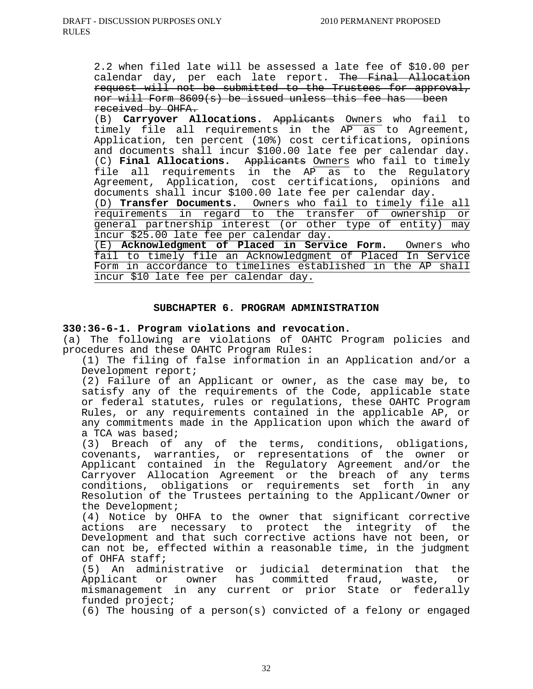2.2 when filed late will be assessed a late fee of \$10.00 per calendar day, per each late report. The Final Allocation request will not be submitted to the Trustees for approval, nor will Form 8609(s) be issued unless this fee has been received by OHFA.

(B) **Carryover Allocations.** Applicants Owners who fail to timely file all requirements in the AP as to Agreement, Application, ten percent (10%) cost certifications, opinions and documents shall incur \$100.00 late fee per calendar day. (C) **Final Allocations.** Applicants Owners who fail to timely file all requirements in the AP as to the Requlatory Agreement, Application, cost certifications, opinions and documents shall incur \$100.00 late fee per calendar day.

(D) **Transfer Documents.** Owners who fail to timely file all requirements in regard to the transfer of ownership or general partnership interest (or other type of entity) may incur \$25.00 late fee per calendar day.

(E) **Acknowledgment of Placed in Service Form.** Owners who fail to timely file an Acknowledgment of Placed In Service Form in accordance to timelines established in the AP shall incur \$10 late fee per calendar day.

# **SUBCHAPTER 6. PROGRAM ADMINISTRATION**

# **330:36-6-1. Program violations and revocation.**

(a) The following are violations of OAHTC Program policies and procedures and these OAHTC Program Rules:

(1) The filing of false information in an Application and/or a Development report;

(2) Failure of an Applicant or owner, as the case may be, to satisfy any of the requirements of the Code, applicable state or federal statutes, rules or regulations, these OAHTC Program Rules, or any requirements contained in the applicable AP, or any commitments made in the Application upon which the award of a TCA was based;

(3) Breach of any of the terms, conditions, obligations, covenants, warranties, or representations of the owner or Applicant contained in the Regulatory Agreement and/or the Carryover Allocation Agreement or the breach of any terms conditions, obligations or requirements set forth in any Resolution of the Trustees pertaining to the Applicant/Owner or the Development;

(4) Notice by OHFA to the owner that significant corrective actions are necessary to protect the integrity of the Development and that such corrective actions have not been, or can not be, effected within a reasonable time, in the judgment of OHFA staff;

(5) An administrative or judicial determination that the Applicant or owner has committed fraud, waste, or mismanagement in any current or prior State or federally funded project;

(6) The housing of a person(s) convicted of a felony or engaged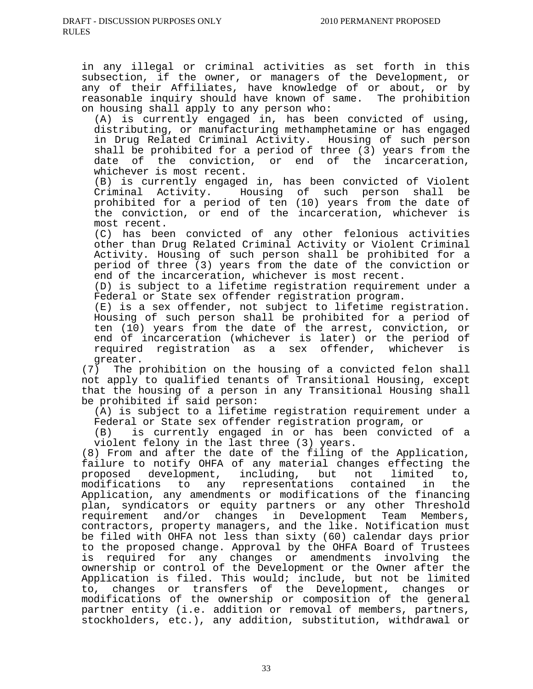in any illegal or criminal activities as set forth in this subsection, if the owner, or managers of the Development, or any of their Affiliates, have knowledge of or about, or by reasonable inquiry should have known of same. The prohibition on housing shall apply to any person who:

(A) is currently engaged in, has been convicted of using, distributing, or manufacturing methamphetamine or has engaged in Drug Related Criminal Activity. Housing of such person shall be prohibited for a period of three (3) years from the date of the conviction, or end of the incarceration, whichever is most recent.

(B) is currently engaged in, has been convicted of Violent Criminal Activity. Housing of such person shall be prohibited for a period of ten (10) years from the date of the conviction, or end of the incarceration, whichever is most recent.

(C) has been convicted of any other felonious activities other than Drug Related Criminal Activity or Violent Criminal Activity. Housing of such person shall be prohibited for a period of three (3) years from the date of the conviction or end of the incarceration, whichever is most recent.

(D) is subject to a lifetime registration requirement under a Federal or State sex offender registration program.

(E) is a sex offender, not subject to lifetime registration. Housing of such person shall be prohibited for a period of ten (10) years from the date of the arrest, conviction, or end of incarceration (whichever is later) or the period of required registration as a sex offender, whichever is greater.

(7) The prohibition on the housing of a convicted felon shall not apply to qualified tenants of Transitional Housing, except that the housing of a person in any Transitional Housing shall be prohibited if said person:

(A) is subject to a lifetime registration requirement under a Federal or State sex offender registration program, or

(B) is currently engaged in or has been convicted of a violent felony in the last three (3) years.

(8) From and after the date of the filing of the Application, failure to notify OHFA of any material changes effecting the proposed development, including, but not limited to, modifications to any representations contained in the Application, any amendments or modifications of the financing plan, syndicators or equity partners or any other Threshold requirement and/or changes in Development Team Members, contractors, property managers, and the like. Notification must be filed with OHFA not less than sixty (60) calendar days prior to the proposed change. Approval by the OHFA Board of Trustees is required for any changes or amendments involving the ownership or control of the Development or the Owner after the Application is filed. This would; include, but not be limited to, changes or transfers of the Development, changes or modifications of the ownership or composition of the general partner entity (i.e. addition or removal of members, partners, stockholders, etc.), any addition, substitution, withdrawal or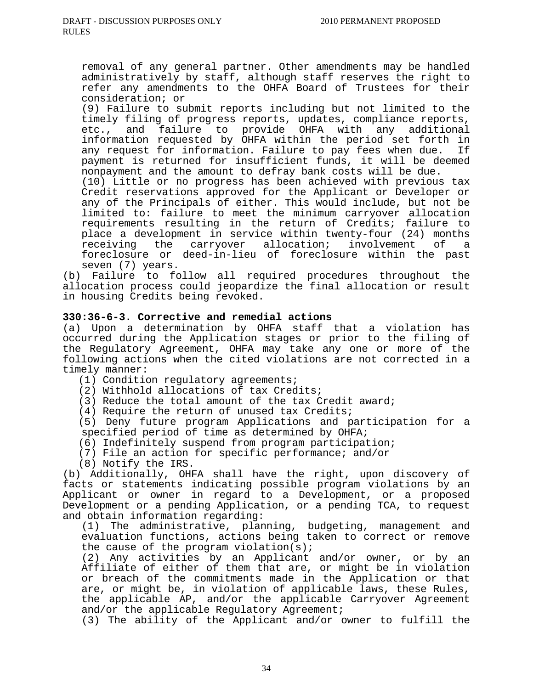removal of any general partner. Other amendments may be handled administratively by staff, although staff reserves the right to refer any amendments to the OHFA Board of Trustees for their consideration; or

(9) Failure to submit reports including but not limited to the timely filing of progress reports, updates, compliance reports,<br>etc., and failure to provide OHFA with any additional etc., and failure to provide OHFA with any additional information requested by OHFA within the period set forth in any request for information. Failure to pay fees when due. If payment is returned for insufficient funds, it will be deemed nonpayment and the amount to defray bank costs will be due.

(10) Little or no progress has been achieved with previous tax Credit reservations approved for the Applicant or Developer or any of the Principals of either. This would include, but not be limited to: failure to meet the minimum carryover allocation requirements resulting in the return of Credits; failure to place a development in service within twenty-four (24) months receiving the carryover allocation; involvement of a foreclosure or deed-in-lieu of foreclosure within the past seven (7) years.

(b) Failure to follow all required procedures throughout the allocation process could jeopardize the final allocation or result in housing Credits being revoked.

# **330:36-6-3. Corrective and remedial actions**

(a) Upon a determination by OHFA staff that a violation has occurred during the Application stages or prior to the filing of the Regulatory Agreement, OHFA may take any one or more of the following actions when the cited violations are not corrected in a timely manner:

(1) Condition regulatory agreements;

(2) Withhold allocations of tax Credits;

(3) Reduce the total amount of the tax Credit award;

(4) Require the return of unused tax Credits;

 (5) Deny future program Applications and participation for a specified period of time as determined by OHFA;

(6) Indefinitely suspend from program participation;

(7) File an action for specific performance; and/or

(8) Notify the IRS.

(b) Additionally, OHFA shall have the right, upon discovery of facts or statements indicating possible program violations by an Applicant or owner in regard to a Development, or a proposed Development or a pending Application, or a pending TCA, to request and obtain information regarding:

(1) The administrative, planning, budgeting, management and evaluation functions, actions being taken to correct or remove the cause of the program violation(s);

(2) Any activities by an Applicant and/or owner, or by an Affiliate of either of them that are, or might be in violation or breach of the commitments made in the Application or that are, or might be, in violation of applicable laws, these Rules, the applicable AP, and/or the applicable Carryover Agreement and/or the applicable Regulatory Agreement;

(3) The ability of the Applicant and/or owner to fulfill the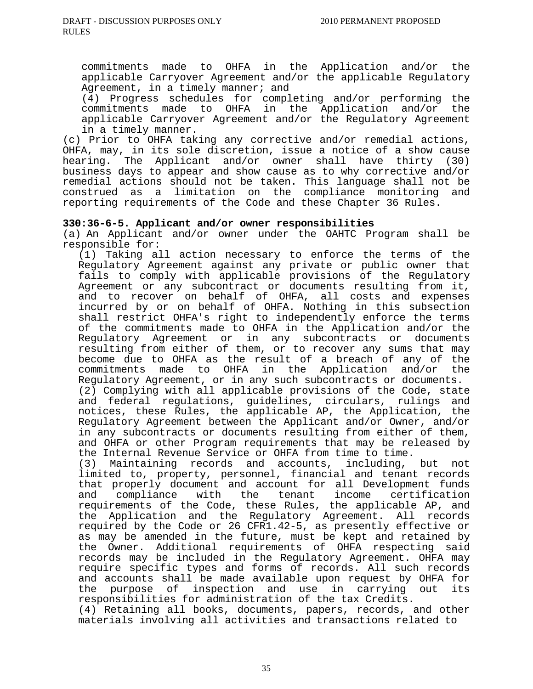commitments made to OHFA in the Application and/or the applicable Carryover Agreement and/or the applicable Regulatory Agreement, in a timely manner; and

(4) Progress schedules for completing and/or performing the commitments made to OHFA in the Application and/or the applicable Carryover Agreement and/or the Regulatory Agreement in a timely manner.

(c) Prior to OHFA taking any corrective and/or remedial actions, OHFA, may, in its sole discretion, issue a notice of a show cause hearing. The Applicant and/or owner shall have thirty (30) business days to appear and show cause as to why corrective and/or remedial actions should not be taken. This language shall not be construed as a limitation on the compliance monitoring and reporting requirements of the Code and these Chapter 36 Rules.

# **330:36-6-5. Applicant and/or owner responsibilities**

(a) An Applicant and/or owner under the OAHTC Program shall be responsible for:

 (1) Taking all action necessary to enforce the terms of the Regulatory Agreement against any private or public owner that fails to comply with applicable provisions of the Regulatory Agreement or any subcontract or documents resulting from it, and to recover on behalf of OHFA, all costs and expenses incurred by or on behalf of OHFA. Nothing in this subsection shall restrict OHFA's right to independently enforce the terms of the commitments made to OHFA in the Application and/or the Regulatory Agreement or in any subcontracts or documents resulting from either of them, or to recover any sums that may become due to OHFA as the result of a breach of any of the commitments made to OHFA in the Application and/or the Regulatory Agreement, or in any such subcontracts or documents.

 (2) Complying with all applicable provisions of the Code, state and federal regulations, guidelines, circulars, rulings and notices, these Rules, the applicable AP, the Application, the Regulatory Agreement between the Applicant and/or Owner, and/or in any subcontracts or documents resulting from either of them, and OHFA or other Program requirements that may be released by the Internal Revenue Service or OHFA from time to time.

 (3) Maintaining records and accounts, including, but not limited to, property, personnel, financial and tenant records that properly document and account for all Development funds and compliance with the tenant income certification requirements of the Code, these Rules, the applicable AP, and the Application and the Regulatory Agreement. All records required by the Code or 26 CFR1.42-5, as presently effective or as may be amended in the future, must be kept and retained by the Owner. Additional requirements of OHFA respecting said records may be included in the Regulatory Agreement. OHFA may require specific types and forms of records. All such records and accounts shall be made available upon request by OHFA for the purpose of inspection and use in carrying out its responsibilities for administration of the tax Credits.

 (4) Retaining all books, documents, papers, records, and other materials involving all activities and transactions related to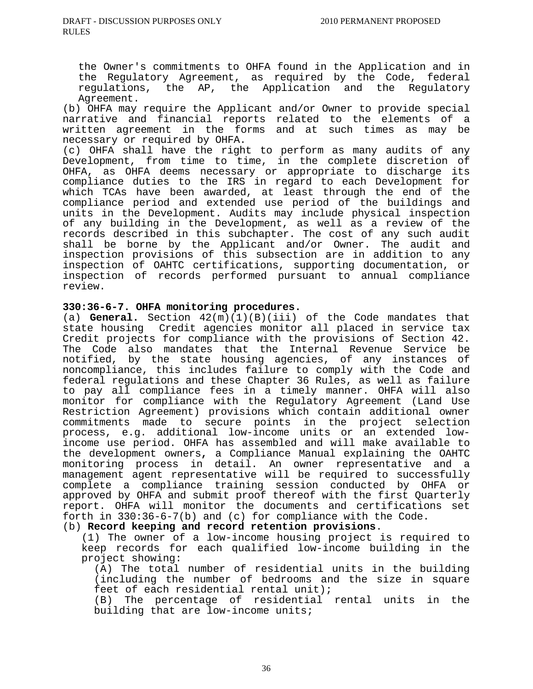the Owner's commitments to OHFA found in the Application and in the Regulatory Agreement, as required by the Code, federal regulations, the AP, the Application and the Regulatory Agreement.

(b) OHFA may require the Applicant and/or Owner to provide special narrative and financial reports related to the elements of a written agreement in the forms and at such times as may be necessary or required by OHFA.

(c) OHFA shall have the right to perform as many audits of any Development, from time to time, in the complete discretion of OHFA, as OHFA deems necessary or appropriate to discharge its compliance duties to the IRS in regard to each Development for which TCAs have been awarded, at least through the end of the compliance period and extended use period of the buildings and units in the Development. Audits may include physical inspection of any building in the Development, as well as a review of the records described in this subchapter. The cost of any such audit shall be borne by the Applicant and/or Owner. The audit and inspection provisions of this subsection are in addition to any inspection of OAHTC certifications, supporting documentation, or inspection of records performed pursuant to annual compliance review.

#### **330:36-6-7. OHFA monitoring procedures.**

(a) **General.** Section 42(m)(1)(B)(iii) of the Code mandates that state housing Credit agencies monitor all placed in service tax Credit projects for compliance with the provisions of Section 42. The Code also mandates that the Internal Revenue Service be notified, by the state housing agencies, of any instances of noncompliance, this includes failure to comply with the Code and federal regulations and these Chapter 36 Rules, as well as failure to pay all compliance fees in a timely manner. OHFA will also monitor for compliance with the Regulatory Agreement (Land Use Restriction Agreement) provisions which contain additional owner commitments made to secure points in the project selection process, e.g. additional low-income units or an extended lowincome use period. OHFA has assembled and will make available to the development owners**,** a Compliance Manual explaining the OAHTC monitoring process in detail. An owner representative and a management agent representative will be required to successfully complete a compliance training session conducted by OHFA or approved by OHFA and submit proof thereof with the first Quarterly report. OHFA will monitor the documents and certifications set forth in 330:36-6-7(b) and (c) for compliance with the Code.

# (b) **Record keeping and record retention provisions**.

(1) The owner of a low-income housing project is required to keep records for each qualified low-income building in the project showing:

(A) The total number of residential units in the building (including the number of bedrooms and the size in square feet of each residential rental unit);

(B) The percentage of residential rental units in the building that are low-income units;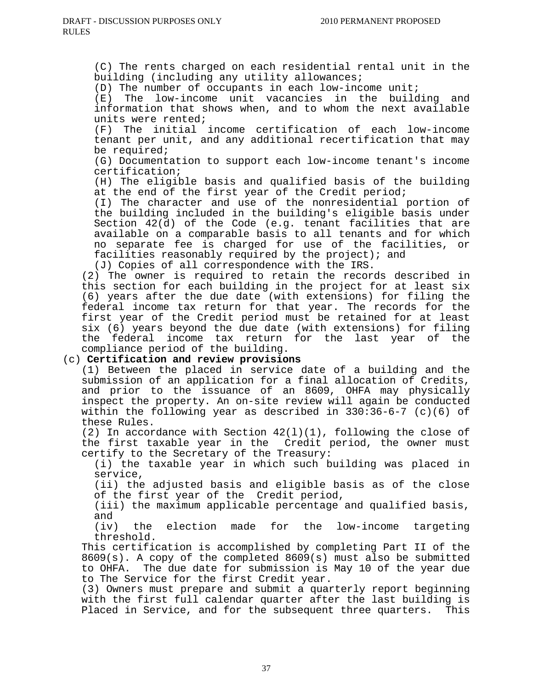(C) The rents charged on each residential rental unit in the building (including any utility allowances;

(D) The number of occupants in each low-income unit;

(E) The low-income unit vacancies in the building and information that shows when, and to whom the next available units were rented;

(F) The initial income certification of each low-income tenant per unit, and any additional recertification that may be required;

(G) Documentation to support each low-income tenant's income certification;

(H) The eligible basis and qualified basis of the building at the end of the first year of the Credit period;

(I) The character and use of the nonresidential portion of the building included in the building's eligible basis under Section 42(d) of the Code (e.g. tenant facilities that are available on a comparable basis to all tenants and for which no separate fee is charged for use of the facilities, or facilities reasonably required by the project); and

(J) Copies of all correspondence with the IRS.

(2) The owner is required to retain the records described in this section for each building in the project for at least six (6) years after the due date (with extensions) for filing the federal income tax return for that year. The records for the first year of the Credit period must be retained for at least six (6) years beyond the due date (with extensions) for filing the federal income tax return for the last year of the compliance period of the building.

# (c) **Certification and review provisions**

(1) Between the placed in service date of a building and the submission of an application for a final allocation of Credits, and prior to the issuance of an 8609, OHFA may physically inspect the property. An on-site review will again be conducted within the following year as described in  $330:36-6-7$  (c)(6) of these Rules.

(2) In accordance with Section 42(l)(1), following the close of the first taxable year in the Credit period, the owner must certify to the Secretary of the Treasury:

(i) the taxable year in which such building was placed in service,

(ii) the adjusted basis and eligible basis as of the close of the first year of the Credit period,

(iii) the maximum applicable percentage and qualified basis, and

(iv) the election made for the low-income targeting threshold.

This certification is accomplished by completing Part II of the 8609(s). A copy of the completed 8609(s) must also be submitted to OHFA. The due date for submission is May 10 of the year due to The Service for the first Credit year.

(3) Owners must prepare and submit a quarterly report beginning with the first full calendar quarter after the last building is Placed in Service, and for the subsequent three quarters. This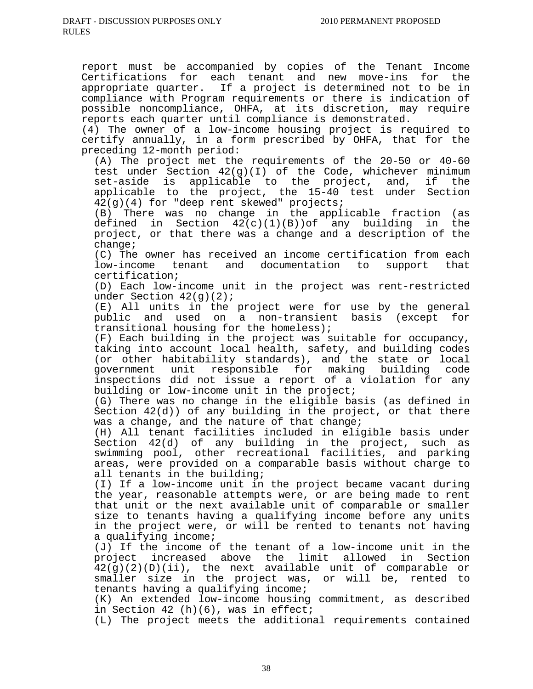report must be accompanied by copies of the Tenant Income Certifications for each tenant and new move-ins for the appropriate quarter. If a project is determined not to be in compliance with Program requirements or there is indication of possible noncompliance, OHFA, at its discretion, may require reports each quarter until compliance is demonstrated. (4) The owner of a low-income housing project is required to certify annually, in a form prescribed by OHFA, that for the preceding 12-month period: (A) The project met the requirements of the 20-50 or 40-60 test under Section 42(g)(I) of the Code, whichever minimum set-aside is applicable to the project, and, if the applicable to the project, the 15-40 test under Section 42(g)(4) for "deep rent skewed" projects; (B) There was no change in the applicable fraction (as defined in Section  $42(c)(1)(B)$  of any building in the project, or that there was a change and a description of the change; (C) The owner has received an income certification from each low-income tenant and documentation to support that certification; (D) Each low-income unit in the project was rent-restricted under Section  $42(g)(2)$ ; (E) All units in the project were for use by the general public and used on a non-transient basis (except for transitional housing for the homeless); (F) Each building in the project was suitable for occupancy, taking into account local health, safety, and building codes (or other habitability standards), and the state or local government unit responsible for making building code inspections did not issue a report of a violation for any building or low-income unit in the project; (G) There was no change in the eligible basis (as defined in Section 42(d)) of any building in the project, or that there was a change, and the nature of that change; (H) All tenant facilities included in eligible basis under Section 42(d) of any building in the project, such as swimming pool, other recreational facilities, and parking areas, were provided on a comparable basis without charge to all tenants in the building; (I) If a low-income unit in the project became vacant during the year, reasonable attempts were, or are being made to rent that unit or the next available unit of comparable or smaller size to tenants having a qualifying income before any units in the project were, or will be rented to tenants not having a qualifying income; (J) If the income of the tenant of a low-income unit in the project increased above the limit allowed in Section 42(g)(2)(D)(ii), the next available unit of comparable or smaller size in the project was, or will be, rented to tenants having a qualifying income; (K) An extended low-income housing commitment, as described

in Section 42 (h)(6), was in effect;

(L) The project meets the additional requirements contained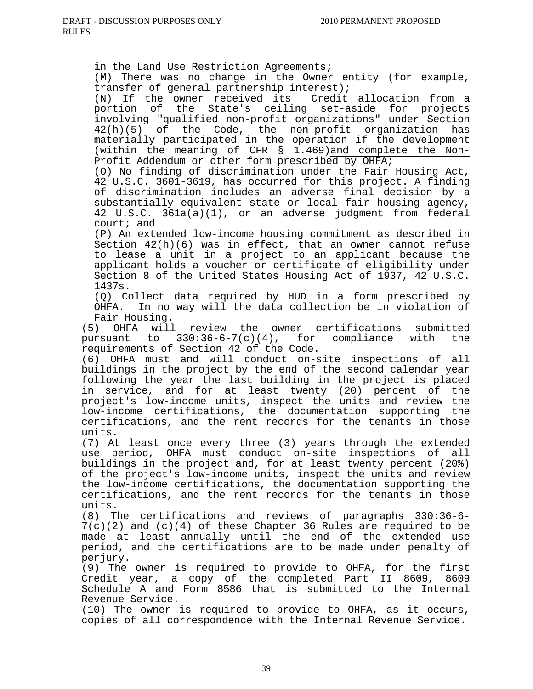in the Land Use Restriction Agreements;

(M) There was no change in the Owner entity (for example, transfer of general partnership interest);

(N) If the owner received its Credit allocation from a portion of the State's ceiling set-aside for projects involving "qualified non-profit organizations" under Section 42(h)(5) of the Code, the non-profit organization has materially participated in the operation if the development (within the meaning of CFR  $\S$  1.469) and complete the Non-Profit Addendum or other form prescribed by OHFA;

(O) No finding of discrimination under the Fair Housing Act, 42 U.S.C. 3601-3619, has occurred for this project. A finding of discrimination includes an adverse final decision by a substantially equivalent state or local fair housing agency, 42 U.S.C. 361a(a)(1), or an adverse judgment from federal court; and

(P) An extended low-income housing commitment as described in Section 42(h)(6) was in effect, that an owner cannot refuse to lease a unit in a project to an applicant because the applicant holds a voucher or certificate of eligibility under Section 8 of the United States Housing Act of 1937, 42 U.S.C. 1437s.

(Q) Collect data required by HUD in a form prescribed by OHFA. In no way will the data collection be in violation of Fair Housing.

(5) OHFA will review the owner certifications submitted pursuant to 330:36-6-7(c)(4), for compliance with the requirements of Section 42 of the Code.

(6) OHFA must and will conduct on-site inspections of all buildings in the project by the end of the second calendar year following the year the last building in the project is placed in service, and for at least twenty (20) percent of the project's low-income units, inspect the units and review the low-income certifications, the documentation supporting the certifications, and the rent records for the tenants in those units.

(7) At least once every three (3) years through the extended use period, OHFA must conduct on-site inspections of all buildings in the project and, for at least twenty percent (20%) of the project's low-income units, inspect the units and review the low-income certifications, the documentation supporting the certifications, and the rent records for the tenants in those units.

(8) The certifications and reviews of paragraphs 330:36-6- 7(c)(2) and (c)(4) of these Chapter 36 Rules are required to be made at least annually until the end of the extended use period, and the certifications are to be made under penalty of perjury.

(9) The owner is required to provide to OHFA, for the first Credit year, a copy of the completed Part II 8609, 8609 Schedule A and Form 8586 that is submitted to the Internal Revenue Service.

(10) The owner is required to provide to OHFA, as it occurs, copies of all correspondence with the Internal Revenue Service.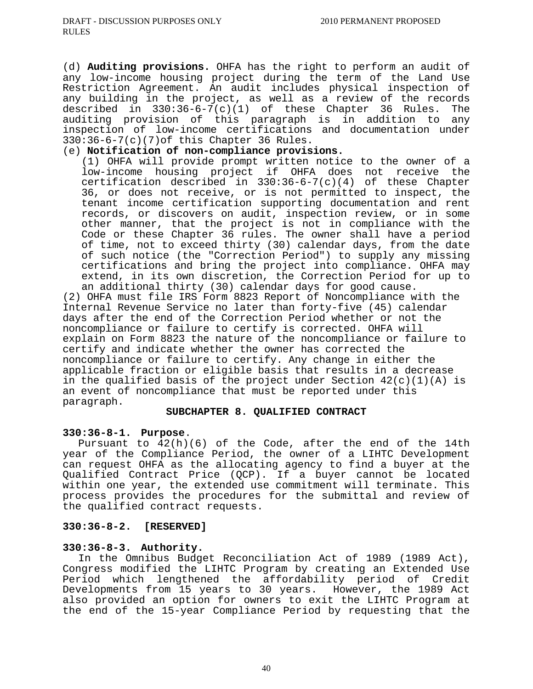(d) **Auditing provisions.** OHFA has the right to perform an audit of any low-income housing project during the term of the Land Use Restriction Agreement. An audit includes physical inspection of any building in the project, as well as a review of the records described in 330:36-6-7(c)(1) of these Chapter 36 Rules. The auditing provision of this paragraph is in addition to any inspection of low-income certifications and documentation under 330:36-6-7(c)(7)of this Chapter 36 Rules.

## (e) **Notification of non-compliance provisions.**

(1) OHFA will provide prompt written notice to the owner of a low-income housing project if OHFA does not receive the certification described in  $330:36-6-7(c)(4)$  of these Chapter 36, or does not receive, or is not permitted to inspect, the tenant income certification supporting documentation and rent records, or discovers on audit, inspection review, or in some other manner, that the project is not in compliance with the Code or these Chapter 36 rules. The owner shall have a period of time, not to exceed thirty (30) calendar days, from the date of such notice (the "Correction Period") to supply any missing certifications and bring the project into compliance. OHFA may extend, in its own discretion, the Correction Period for up to an additional thirty (30) calendar days for good cause.

(2) OHFA must file IRS Form 8823 Report of Noncompliance with the Internal Revenue Service no later than forty-five (45) calendar days after the end of the Correction Period whether or not the noncompliance or failure to certify is corrected. OHFA will explain on Form 8823 the nature of the noncompliance or failure to certify and indicate whether the owner has corrected the noncompliance or failure to certify. Any change in either the applicable fraction or eligible basis that results in a decrease in the qualified basis of the project under Section  $42(c)(1)(A)$  is an event of noncompliance that must be reported under this paragraph. **SUBCHAPTER 8. QUALIFIED CONTRACT** 

#### **330:36-8-1. Purpose**.

 Pursuant to 42(h)(6) of the Code, after the end of the 14th year of the Compliance Period, the owner of a LIHTC Development can request OHFA as the allocating agency to find a buyer at the Qualified Contract Price (QCP). If a buyer cannot be located within one year, the extended use commitment will terminate. This process provides the procedures for the submittal and review of the qualified contract requests.

## **330:36-8-2. [RESERVED]**

#### **330:36-8-3. Authority.**

 In the Omnibus Budget Reconciliation Act of 1989 (1989 Act), Congress modified the LIHTC Program by creating an Extended Use Period which lengthened the affordability period of Credit Developments from 15 years to 30 years. However, the 1989 Act also provided an option for owners to exit the LIHTC Program at the end of the 15-year Compliance Period by requesting that the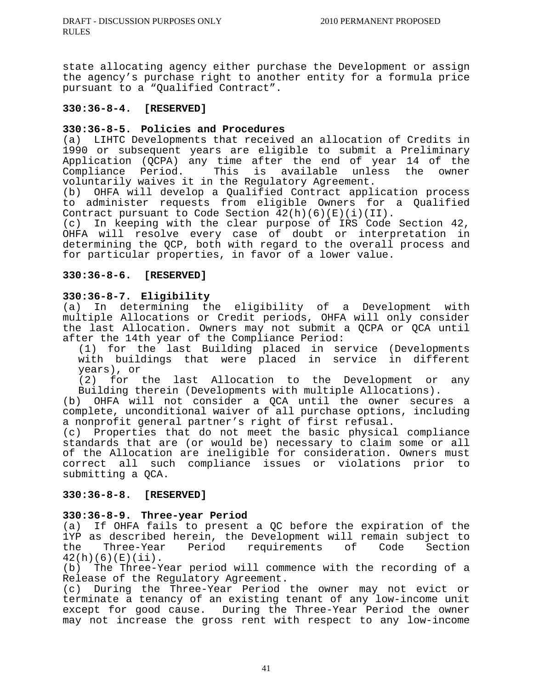state allocating agency either purchase the Development or assign the agency's purchase right to another entity for a formula price pursuant to a "Qualified Contract".

#### **330:36-8-4. [RESERVED]**

# **330:36-8-5. Policies and Procedures**

(a) LIHTC Developments that received an allocation of Credits in 1990 or subsequent years are eligible to submit a Preliminary Application (QCPA) any time after the end of year 14 of the Compliance Period. This is available unless the owner voluntarily waives it in the Regulatory Agreement.

(b) OHFA will develop a Qualified Contract application process to administer requests from eligible Owners for a Qualified Contract pursuant to Code Section  $42(h)(6)(E)(i)(II)$ .

(c) In keeping with the clear purpose of IRS Code Section 42, OHFA will resolve every case of doubt or interpretation in determining the QCP, both with regard to the overall process and for particular properties, in favor of a lower value.

#### **330:36-8-6. [RESERVED]**

#### **330:36-8-7. Eligibility**

(a) In determining the eligibility of a Development with multiple Allocations or Credit periods, OHFA will only consider the last Allocation. Owners may not submit a QCPA or QCA until after the 14th year of the Compliance Period:

 (1) for the last Building placed in service (Developments with buildings that were placed in service in different years), or

 (2) for the last Allocation to the Development or any Building therein (Developments with multiple Allocations).

(b) OHFA will not consider a QCA until the owner secures a complete, unconditional waiver of all purchase options, including a nonprofit general partner's right of first refusal.

(c) Properties that do not meet the basic physical compliance standards that are (or would be) necessary to claim some or all of the Allocation are ineligible for consideration. Owners must correct all such compliance issues or violations prior to submitting a QCA.

#### **330:36-8-8. [RESERVED]**

#### **330:36-8-9. Three-year Period**

(a) If OHFA fails to present a QC before the expiration of the 1YP as described herein, the Development will remain subject to the Three-Year Period requirements of Code Section  $42(h)(6)(E)(ii)$ .

(b) The Three-Year period will commence with the recording of a Release of the Regulatory Agreement.

(c) During the Three-Year Period the owner may not evict or terminate a tenancy of an existing tenant of any low-income unit except for good cause. During the Three-Year Period the owner may not increase the gross rent with respect to any low-income